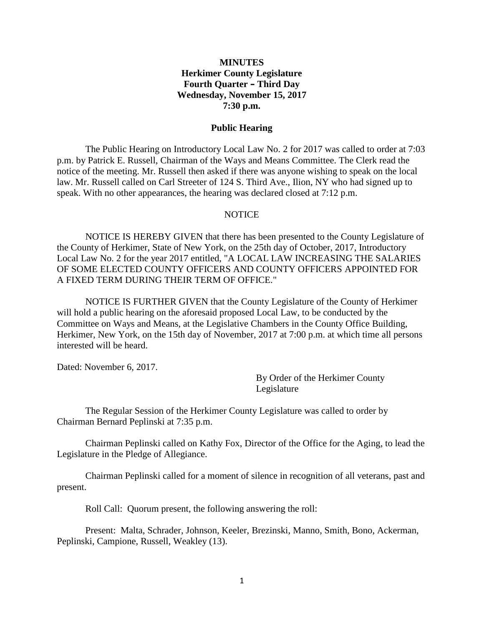### **MINUTES Herkimer County Legislature Fourth Quarter – Third Day Wednesday, November 15, 2017 7:30 p.m.**

#### **Public Hearing**

The Public Hearing on Introductory Local Law No. 2 for 2017 was called to order at 7:03 p.m. by Patrick E. Russell, Chairman of the Ways and Means Committee. The Clerk read the notice of the meeting. Mr. Russell then asked if there was anyone wishing to speak on the local law. Mr. Russell called on Carl Streeter of 124 S. Third Ave., Ilion, NY who had signed up to speak. With no other appearances, the hearing was declared closed at 7:12 p.m.

#### NOTICE

NOTICE IS HEREBY GIVEN that there has been presented to the County Legislature of the County of Herkimer, State of New York, on the 25th day of October, 2017, Introductory Local Law No. 2 for the year 2017 entitled, "A LOCAL LAW INCREASING THE SALARIES OF SOME ELECTED COUNTY OFFICERS AND COUNTY OFFICERS APPOINTED FOR A FIXED TERM DURING THEIR TERM OF OFFICE."

NOTICE IS FURTHER GIVEN that the County Legislature of the County of Herkimer will hold a public hearing on the aforesaid proposed Local Law, to be conducted by the Committee on Ways and Means, at the Legislative Chambers in the County Office Building, Herkimer, New York, on the 15th day of November, 2017 at 7:00 p.m. at which time all persons interested will be heard.

Dated: November 6, 2017.

By Order of the Herkimer County Legislature

The Regular Session of the Herkimer County Legislature was called to order by Chairman Bernard Peplinski at 7:35 p.m.

Chairman Peplinski called on Kathy Fox, Director of the Office for the Aging, to lead the Legislature in the Pledge of Allegiance.

Chairman Peplinski called for a moment of silence in recognition of all veterans, past and present.

Roll Call: Quorum present, the following answering the roll:

Present: Malta, Schrader, Johnson, Keeler, Brezinski, Manno, Smith, Bono, Ackerman, Peplinski, Campione, Russell, Weakley (13).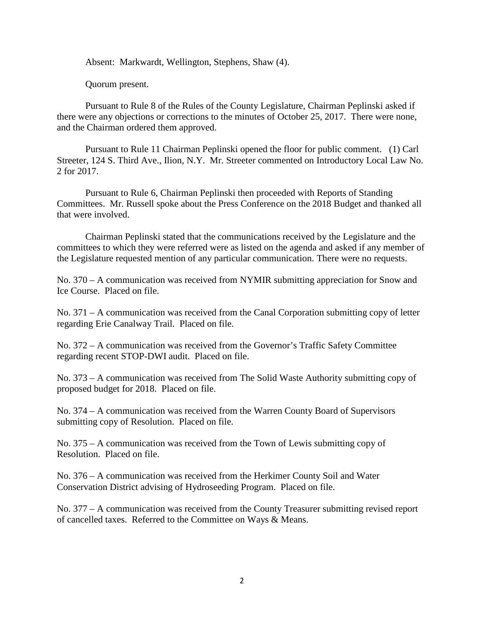Absent: Markwardt, Wellington, Stephens, Shaw (4).

Quorum present.

Pursuant to Rule 8 of the Rules of the County Legislature, Chairman Peplinski asked if there were any objections or corrections to the minutes of October 25, 2017. There were none, and the Chairman ordered them approved.

Pursuant to Rule 11 Chairman Peplinski opened the floor for public comment. (1) Carl Streeter, 124 S. Third Ave., Ilion, N.Y. Mr. Streeter commented on Introductory Local Law No. 2 for 2017.

Pursuant to Rule 6, Chairman Peplinski then proceeded with Reports of Standing Committees. Mr. Russell spoke about the Press Conference on the 2018 Budget and thanked all that were involved.

Chairman Peplinski stated that the communications received by the Legislature and the committees to which they were referred were as listed on the agenda and asked if any member of the Legislature requested mention of any particular communication. There were no requests.

No. 370 – A communication was received from NYMIR submitting appreciation for Snow and Ice Course. Placed on file.

No. 371 – A communication was received from the Canal Corporation submitting copy of letter regarding Erie Canalway Trail. Placed on file.

No. 372 – A communication was received from the Governor's Traffic Safety Committee regarding recent STOP-DWI audit. Placed on file.

No. 373 – A communication was received from The Solid Waste Authority submitting copy of proposed budget for 2018. Placed on file.

No. 374 – A communication was received from the Warren County Board of Supervisors submitting copy of Resolution. Placed on file.

No. 375 – A communication was received from the Town of Lewis submitting copy of Resolution. Placed on file.

No. 376 – A communication was received from the Herkimer County Soil and Water Conservation District advising of Hydroseeding Program. Placed on file.

No. 377 – A communication was received from the County Treasurer submitting revised report of cancelled taxes. Referred to the Committee on Ways & Means.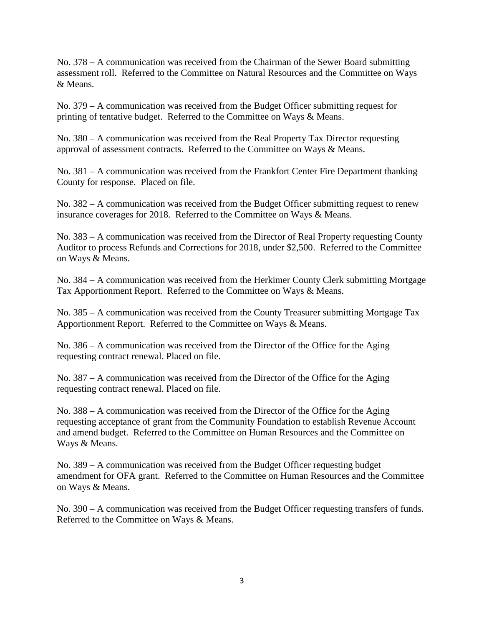No. 378 – A communication was received from the Chairman of the Sewer Board submitting assessment roll. Referred to the Committee on Natural Resources and the Committee on Ways & Means.

No. 379 – A communication was received from the Budget Officer submitting request for printing of tentative budget. Referred to the Committee on Ways & Means.

No. 380 – A communication was received from the Real Property Tax Director requesting approval of assessment contracts. Referred to the Committee on Ways & Means.

No. 381 – A communication was received from the Frankfort Center Fire Department thanking County for response. Placed on file.

No. 382 – A communication was received from the Budget Officer submitting request to renew insurance coverages for 2018. Referred to the Committee on Ways & Means.

No. 383 – A communication was received from the Director of Real Property requesting County Auditor to process Refunds and Corrections for 2018, under \$2,500. Referred to the Committee on Ways & Means.

No. 384 – A communication was received from the Herkimer County Clerk submitting Mortgage Tax Apportionment Report. Referred to the Committee on Ways & Means.

No. 385 – A communication was received from the County Treasurer submitting Mortgage Tax Apportionment Report. Referred to the Committee on Ways & Means.

No. 386 – A communication was received from the Director of the Office for the Aging requesting contract renewal. Placed on file.

No. 387 – A communication was received from the Director of the Office for the Aging requesting contract renewal. Placed on file.

No. 388 – A communication was received from the Director of the Office for the Aging requesting acceptance of grant from the Community Foundation to establish Revenue Account and amend budget. Referred to the Committee on Human Resources and the Committee on Ways & Means.

No. 389 – A communication was received from the Budget Officer requesting budget amendment for OFA grant. Referred to the Committee on Human Resources and the Committee on Ways & Means.

No. 390 – A communication was received from the Budget Officer requesting transfers of funds. Referred to the Committee on Ways & Means.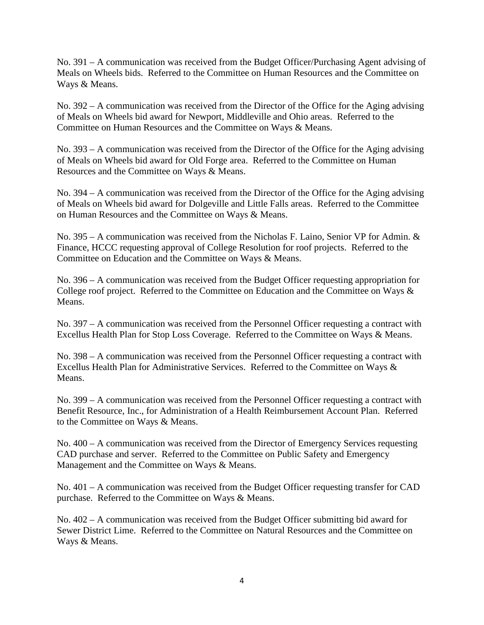No. 391 – A communication was received from the Budget Officer/Purchasing Agent advising of Meals on Wheels bids. Referred to the Committee on Human Resources and the Committee on Ways & Means.

No. 392 – A communication was received from the Director of the Office for the Aging advising of Meals on Wheels bid award for Newport, Middleville and Ohio areas. Referred to the Committee on Human Resources and the Committee on Ways & Means.

No. 393 – A communication was received from the Director of the Office for the Aging advising of Meals on Wheels bid award for Old Forge area. Referred to the Committee on Human Resources and the Committee on Ways & Means.

No. 394 – A communication was received from the Director of the Office for the Aging advising of Meals on Wheels bid award for Dolgeville and Little Falls areas. Referred to the Committee on Human Resources and the Committee on Ways & Means.

No. 395 – A communication was received from the Nicholas F. Laino, Senior VP for Admin. & Finance, HCCC requesting approval of College Resolution for roof projects. Referred to the Committee on Education and the Committee on Ways & Means.

No. 396 – A communication was received from the Budget Officer requesting appropriation for College roof project. Referred to the Committee on Education and the Committee on Ways & Means.

No. 397 – A communication was received from the Personnel Officer requesting a contract with Excellus Health Plan for Stop Loss Coverage. Referred to the Committee on Ways & Means.

No. 398 – A communication was received from the Personnel Officer requesting a contract with Excellus Health Plan for Administrative Services. Referred to the Committee on Ways & Means.

No. 399 – A communication was received from the Personnel Officer requesting a contract with Benefit Resource, Inc., for Administration of a Health Reimbursement Account Plan. Referred to the Committee on Ways & Means.

No. 400 – A communication was received from the Director of Emergency Services requesting CAD purchase and server. Referred to the Committee on Public Safety and Emergency Management and the Committee on Ways & Means.

No. 401 – A communication was received from the Budget Officer requesting transfer for CAD purchase. Referred to the Committee on Ways & Means.

No. 402 – A communication was received from the Budget Officer submitting bid award for Sewer District Lime. Referred to the Committee on Natural Resources and the Committee on Ways & Means.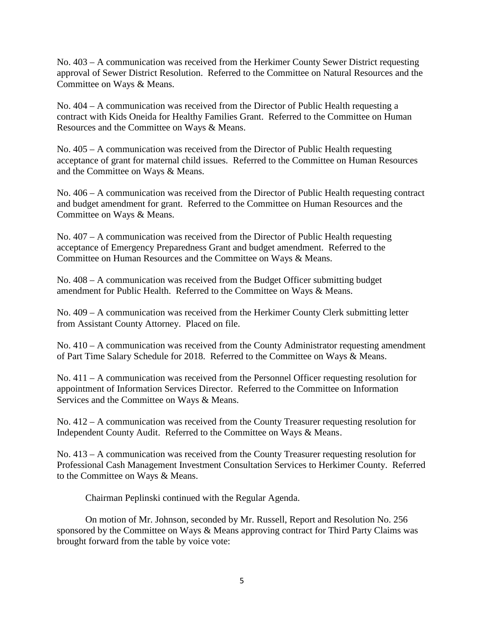No. 403 – A communication was received from the Herkimer County Sewer District requesting approval of Sewer District Resolution. Referred to the Committee on Natural Resources and the Committee on Ways & Means.

No. 404 – A communication was received from the Director of Public Health requesting a contract with Kids Oneida for Healthy Families Grant. Referred to the Committee on Human Resources and the Committee on Ways & Means.

No. 405 – A communication was received from the Director of Public Health requesting acceptance of grant for maternal child issues. Referred to the Committee on Human Resources and the Committee on Ways & Means.

No. 406 – A communication was received from the Director of Public Health requesting contract and budget amendment for grant. Referred to the Committee on Human Resources and the Committee on Ways & Means.

No. 407 – A communication was received from the Director of Public Health requesting acceptance of Emergency Preparedness Grant and budget amendment. Referred to the Committee on Human Resources and the Committee on Ways & Means.

No. 408 – A communication was received from the Budget Officer submitting budget amendment for Public Health. Referred to the Committee on Ways & Means.

No. 409 – A communication was received from the Herkimer County Clerk submitting letter from Assistant County Attorney. Placed on file.

No. 410 – A communication was received from the County Administrator requesting amendment of Part Time Salary Schedule for 2018. Referred to the Committee on Ways & Means.

No. 411 – A communication was received from the Personnel Officer requesting resolution for appointment of Information Services Director. Referred to the Committee on Information Services and the Committee on Ways & Means.

No. 412 – A communication was received from the County Treasurer requesting resolution for Independent County Audit. Referred to the Committee on Ways & Means.

No. 413 – A communication was received from the County Treasurer requesting resolution for Professional Cash Management Investment Consultation Services to Herkimer County. Referred to the Committee on Ways & Means.

Chairman Peplinski continued with the Regular Agenda.

On motion of Mr. Johnson, seconded by Mr. Russell, Report and Resolution No. 256 sponsored by the Committee on Ways & Means approving contract for Third Party Claims was brought forward from the table by voice vote: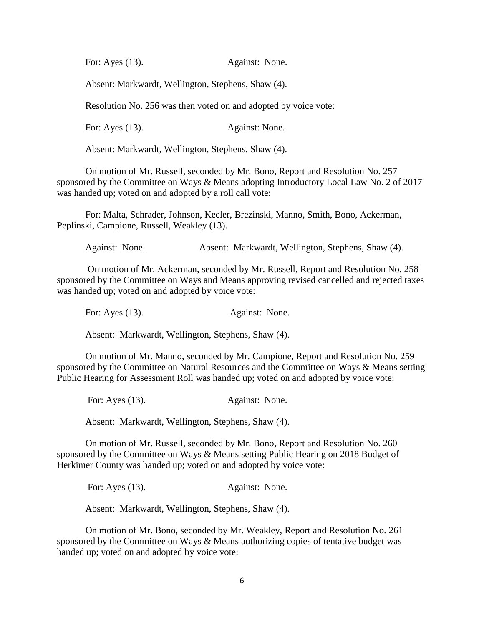For: Ayes (13). Against: None.

Absent: Markwardt, Wellington, Stephens, Shaw (4).

Resolution No. 256 was then voted on and adopted by voice vote:

For: Ayes (13). Against: None.

Absent: Markwardt, Wellington, Stephens, Shaw (4).

On motion of Mr. Russell, seconded by Mr. Bono, Report and Resolution No. 257 sponsored by the Committee on Ways & Means adopting Introductory Local Law No. 2 of 2017 was handed up; voted on and adopted by a roll call vote:

For: Malta, Schrader, Johnson, Keeler, Brezinski, Manno, Smith, Bono, Ackerman, Peplinski, Campione, Russell, Weakley (13).

Against: None. Absent: Markwardt, Wellington, Stephens, Shaw (4).

On motion of Mr. Ackerman, seconded by Mr. Russell, Report and Resolution No. 258 sponsored by the Committee on Ways and Means approving revised cancelled and rejected taxes was handed up; voted on and adopted by voice vote:

For: Ayes (13). Against: None.

Absent: Markwardt, Wellington, Stephens, Shaw (4).

On motion of Mr. Manno, seconded by Mr. Campione, Report and Resolution No. 259 sponsored by the Committee on Natural Resources and the Committee on Ways & Means setting Public Hearing for Assessment Roll was handed up; voted on and adopted by voice vote:

For: Ayes (13). Against: None.

Absent: Markwardt, Wellington, Stephens, Shaw (4).

On motion of Mr. Russell, seconded by Mr. Bono, Report and Resolution No. 260 sponsored by the Committee on Ways & Means setting Public Hearing on 2018 Budget of Herkimer County was handed up; voted on and adopted by voice vote:

For: Ayes (13). Against: None.

Absent: Markwardt, Wellington, Stephens, Shaw (4).

On motion of Mr. Bono, seconded by Mr. Weakley, Report and Resolution No. 261 sponsored by the Committee on Ways & Means authorizing copies of tentative budget was handed up; voted on and adopted by voice vote: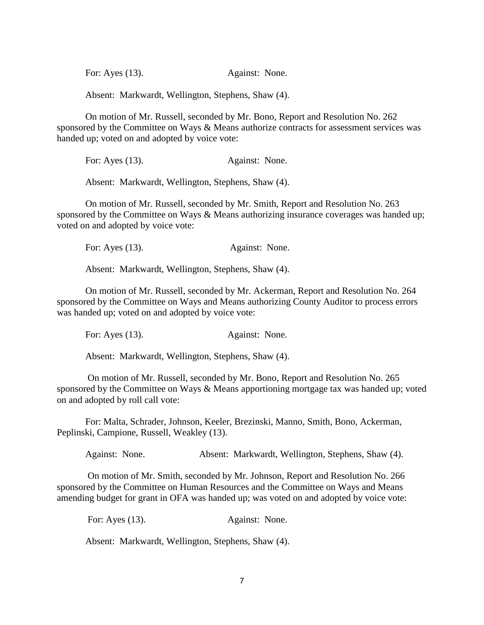| For: Ayes $(13)$ . | Against: None. |
|--------------------|----------------|
|--------------------|----------------|

Absent: Markwardt, Wellington, Stephens, Shaw (4).

On motion of Mr. Russell, seconded by Mr. Bono, Report and Resolution No. 262 sponsored by the Committee on Ways & Means authorize contracts for assessment services was handed up; voted on and adopted by voice vote:

For: Ayes (13). Against: None.

Absent: Markwardt, Wellington, Stephens, Shaw (4).

On motion of Mr. Russell, seconded by Mr. Smith, Report and Resolution No. 263 sponsored by the Committee on Ways & Means authorizing insurance coverages was handed up; voted on and adopted by voice vote:

For: Ayes (13). Against: None.

Absent: Markwardt, Wellington, Stephens, Shaw (4).

On motion of Mr. Russell, seconded by Mr. Ackerman, Report and Resolution No. 264 sponsored by the Committee on Ways and Means authorizing County Auditor to process errors was handed up; voted on and adopted by voice vote:

For: Ayes (13). Against: None.

Absent: Markwardt, Wellington, Stephens, Shaw (4).

On motion of Mr. Russell, seconded by Mr. Bono, Report and Resolution No. 265 sponsored by the Committee on Ways & Means apportioning mortgage tax was handed up; voted on and adopted by roll call vote:

For: Malta, Schrader, Johnson, Keeler, Brezinski, Manno, Smith, Bono, Ackerman, Peplinski, Campione, Russell, Weakley (13).

Against: None. Absent: Markwardt, Wellington, Stephens, Shaw (4).

On motion of Mr. Smith, seconded by Mr. Johnson, Report and Resolution No. 266 sponsored by the Committee on Human Resources and the Committee on Ways and Means amending budget for grant in OFA was handed up; was voted on and adopted by voice vote:

For: Ayes (13). Against: None.

Absent: Markwardt, Wellington, Stephens, Shaw (4).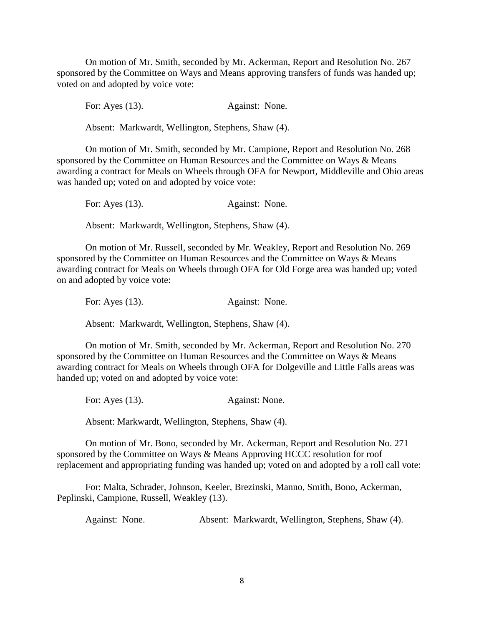On motion of Mr. Smith, seconded by Mr. Ackerman, Report and Resolution No. 267 sponsored by the Committee on Ways and Means approving transfers of funds was handed up; voted on and adopted by voice vote:

For: Ayes (13). Against: None.

Absent: Markwardt, Wellington, Stephens, Shaw (4).

On motion of Mr. Smith, seconded by Mr. Campione, Report and Resolution No. 268 sponsored by the Committee on Human Resources and the Committee on Ways & Means awarding a contract for Meals on Wheels through OFA for Newport, Middleville and Ohio areas was handed up; voted on and adopted by voice vote:

For: Ayes (13). Against: None.

Absent: Markwardt, Wellington, Stephens, Shaw (4).

On motion of Mr. Russell, seconded by Mr. Weakley, Report and Resolution No. 269 sponsored by the Committee on Human Resources and the Committee on Ways & Means awarding contract for Meals on Wheels through OFA for Old Forge area was handed up; voted on and adopted by voice vote:

For: Ayes (13). Against: None.

Absent: Markwardt, Wellington, Stephens, Shaw (4).

On motion of Mr. Smith, seconded by Mr. Ackerman, Report and Resolution No. 270 sponsored by the Committee on Human Resources and the Committee on Ways & Means awarding contract for Meals on Wheels through OFA for Dolgeville and Little Falls areas was handed up; voted on and adopted by voice vote:

For: Ayes (13). Against: None.

Absent: Markwardt, Wellington, Stephens, Shaw (4).

On motion of Mr. Bono, seconded by Mr. Ackerman, Report and Resolution No. 271 sponsored by the Committee on Ways & Means Approving HCCC resolution for roof replacement and appropriating funding was handed up; voted on and adopted by a roll call vote:

For: Malta, Schrader, Johnson, Keeler, Brezinski, Manno, Smith, Bono, Ackerman, Peplinski, Campione, Russell, Weakley (13).

Against: None. Absent: Markwardt, Wellington, Stephens, Shaw (4).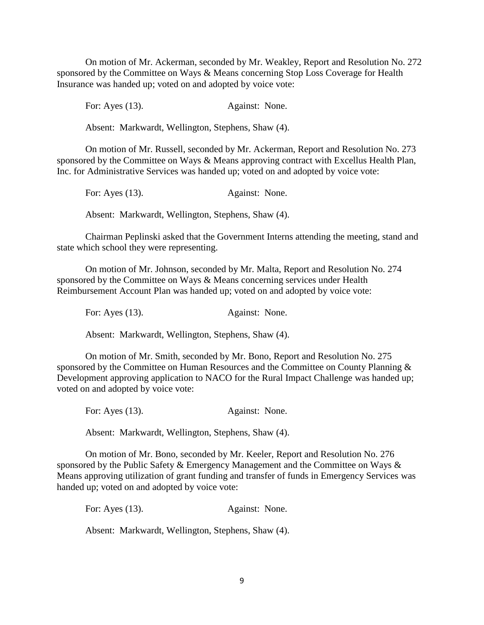On motion of Mr. Ackerman, seconded by Mr. Weakley, Report and Resolution No. 272 sponsored by the Committee on Ways & Means concerning Stop Loss Coverage for Health Insurance was handed up; voted on and adopted by voice vote:

For: Ayes (13). Against: None.

Absent: Markwardt, Wellington, Stephens, Shaw (4).

On motion of Mr. Russell, seconded by Mr. Ackerman, Report and Resolution No. 273 sponsored by the Committee on Ways & Means approving contract with Excellus Health Plan, Inc. for Administrative Services was handed up; voted on and adopted by voice vote:

For: Ayes (13). Against: None.

Absent: Markwardt, Wellington, Stephens, Shaw (4).

Chairman Peplinski asked that the Government Interns attending the meeting, stand and state which school they were representing.

On motion of Mr. Johnson, seconded by Mr. Malta, Report and Resolution No. 274 sponsored by the Committee on Ways & Means concerning services under Health Reimbursement Account Plan was handed up; voted on and adopted by voice vote:

For: Ayes (13). Against: None.

Absent: Markwardt, Wellington, Stephens, Shaw (4).

On motion of Mr. Smith, seconded by Mr. Bono, Report and Resolution No. 275 sponsored by the Committee on Human Resources and the Committee on County Planning & Development approving application to NACO for the Rural Impact Challenge was handed up; voted on and adopted by voice vote:

For: Ayes (13). Against: None.

Absent: Markwardt, Wellington, Stephens, Shaw (4).

On motion of Mr. Bono, seconded by Mr. Keeler, Report and Resolution No. 276 sponsored by the Public Safety & Emergency Management and the Committee on Ways & Means approving utilization of grant funding and transfer of funds in Emergency Services was handed up; voted on and adopted by voice vote:

For: Ayes (13). Against: None.

Absent: Markwardt, Wellington, Stephens, Shaw (4).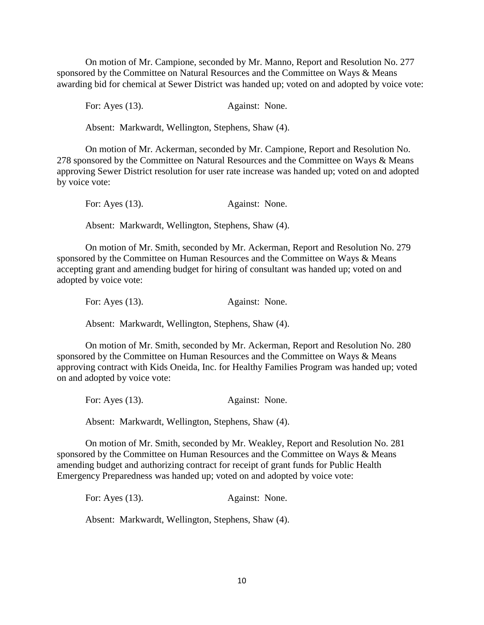On motion of Mr. Campione, seconded by Mr. Manno, Report and Resolution No. 277 sponsored by the Committee on Natural Resources and the Committee on Ways & Means awarding bid for chemical at Sewer District was handed up; voted on and adopted by voice vote:

For: Ayes (13). Against: None.

Absent: Markwardt, Wellington, Stephens, Shaw (4).

On motion of Mr. Ackerman, seconded by Mr. Campione, Report and Resolution No. 278 sponsored by the Committee on Natural Resources and the Committee on Ways & Means approving Sewer District resolution for user rate increase was handed up; voted on and adopted by voice vote:

For: Ayes (13). Against: None.

Absent: Markwardt, Wellington, Stephens, Shaw (4).

On motion of Mr. Smith, seconded by Mr. Ackerman, Report and Resolution No. 279 sponsored by the Committee on Human Resources and the Committee on Ways & Means accepting grant and amending budget for hiring of consultant was handed up; voted on and adopted by voice vote:

For: Ayes (13). Against: None.

Absent: Markwardt, Wellington, Stephens, Shaw (4).

On motion of Mr. Smith, seconded by Mr. Ackerman, Report and Resolution No. 280 sponsored by the Committee on Human Resources and the Committee on Ways & Means approving contract with Kids Oneida, Inc. for Healthy Families Program was handed up; voted on and adopted by voice vote:

For: Ayes (13). Against: None.

Absent: Markwardt, Wellington, Stephens, Shaw (4).

On motion of Mr. Smith, seconded by Mr. Weakley, Report and Resolution No. 281 sponsored by the Committee on Human Resources and the Committee on Ways & Means amending budget and authorizing contract for receipt of grant funds for Public Health Emergency Preparedness was handed up; voted on and adopted by voice vote:

For: Ayes (13). Against: None.

Absent: Markwardt, Wellington, Stephens, Shaw (4).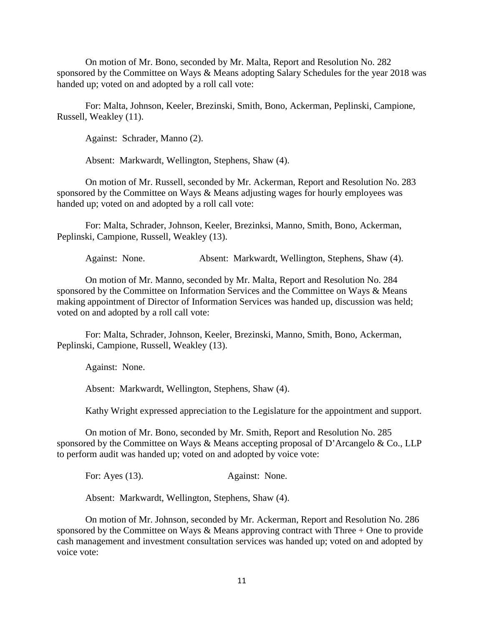On motion of Mr. Bono, seconded by Mr. Malta, Report and Resolution No. 282 sponsored by the Committee on Ways & Means adopting Salary Schedules for the year 2018 was handed up; voted on and adopted by a roll call vote:

For: Malta, Johnson, Keeler, Brezinski, Smith, Bono, Ackerman, Peplinski, Campione, Russell, Weakley (11).

Against: Schrader, Manno (2).

Absent: Markwardt, Wellington, Stephens, Shaw (4).

On motion of Mr. Russell, seconded by Mr. Ackerman, Report and Resolution No. 283 sponsored by the Committee on Ways & Means adjusting wages for hourly employees was handed up; voted on and adopted by a roll call vote:

For: Malta, Schrader, Johnson, Keeler, Brezinksi, Manno, Smith, Bono, Ackerman, Peplinski, Campione, Russell, Weakley (13).

Against: None. Absent: Markwardt, Wellington, Stephens, Shaw (4).

On motion of Mr. Manno, seconded by Mr. Malta, Report and Resolution No. 284 sponsored by the Committee on Information Services and the Committee on Ways & Means making appointment of Director of Information Services was handed up, discussion was held; voted on and adopted by a roll call vote:

For: Malta, Schrader, Johnson, Keeler, Brezinski, Manno, Smith, Bono, Ackerman, Peplinski, Campione, Russell, Weakley (13).

Against: None.

Absent: Markwardt, Wellington, Stephens, Shaw (4).

Kathy Wright expressed appreciation to the Legislature for the appointment and support.

On motion of Mr. Bono, seconded by Mr. Smith, Report and Resolution No. 285 sponsored by the Committee on Ways & Means accepting proposal of D'Arcangelo & Co., LLP to perform audit was handed up; voted on and adopted by voice vote:

For: Ayes (13). Against: None.

Absent: Markwardt, Wellington, Stephens, Shaw (4).

On motion of Mr. Johnson, seconded by Mr. Ackerman, Report and Resolution No. 286 sponsored by the Committee on Ways & Means approving contract with Three  $+$  One to provide cash management and investment consultation services was handed up; voted on and adopted by voice vote: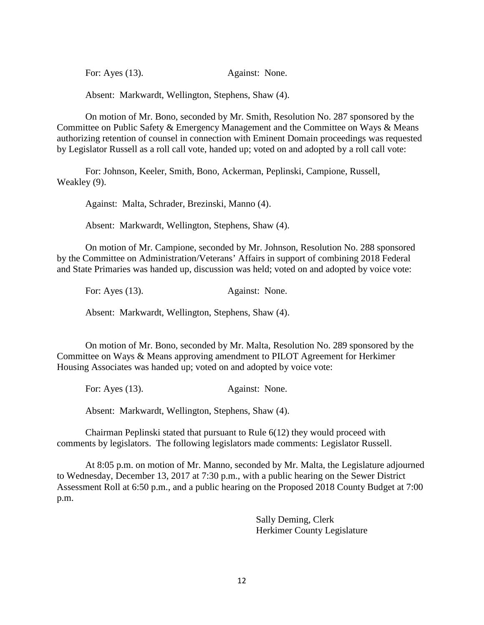For: Ayes (13). Against: None.

Absent: Markwardt, Wellington, Stephens, Shaw (4).

On motion of Mr. Bono, seconded by Mr. Smith, Resolution No. 287 sponsored by the Committee on Public Safety & Emergency Management and the Committee on Ways & Means authorizing retention of counsel in connection with Eminent Domain proceedings was requested by Legislator Russell as a roll call vote, handed up; voted on and adopted by a roll call vote:

For: Johnson, Keeler, Smith, Bono, Ackerman, Peplinski, Campione, Russell, Weakley (9).

Against: Malta, Schrader, Brezinski, Manno (4).

Absent: Markwardt, Wellington, Stephens, Shaw (4).

On motion of Mr. Campione, seconded by Mr. Johnson, Resolution No. 288 sponsored by the Committee on Administration/Veterans' Affairs in support of combining 2018 Federal and State Primaries was handed up, discussion was held; voted on and adopted by voice vote:

For: Ayes (13). Against: None.

Absent: Markwardt, Wellington, Stephens, Shaw (4).

On motion of Mr. Bono, seconded by Mr. Malta, Resolution No. 289 sponsored by the Committee on Ways & Means approving amendment to PILOT Agreement for Herkimer Housing Associates was handed up; voted on and adopted by voice vote:

For: Ayes (13). Against: None.

Absent: Markwardt, Wellington, Stephens, Shaw (4).

Chairman Peplinski stated that pursuant to Rule 6(12) they would proceed with comments by legislators. The following legislators made comments: Legislator Russell.

At 8:05 p.m. on motion of Mr. Manno, seconded by Mr. Malta, the Legislature adjourned to Wednesday, December 13, 2017 at 7:30 p.m., with a public hearing on the Sewer District Assessment Roll at 6:50 p.m., and a public hearing on the Proposed 2018 County Budget at 7:00 p.m.

> Sally Deming, Clerk Herkimer County Legislature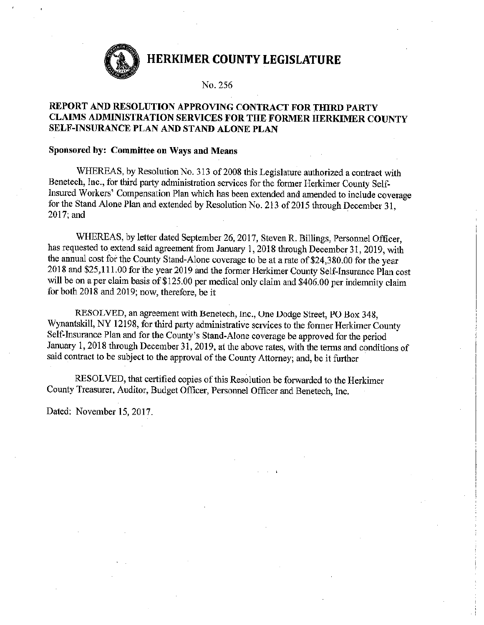No. 256

# REPORT AND RESOLUTION APPROVING CONTRACT FOR THIRD PARTY CLAIMS ADMINISTRATION SERVICES FOR THE FORMER HERKIMER COUNTY SELF-INSURANCE PLAN AND STAND ALONE PLAN

### Sponsored by: Committee on Ways and Means

WHEREAS, by Resolution No. 313 of 2008 this Legislature authorized a contract with Benetech, Inc., for third party administration services for the former Herkimer County Self-Insured Workers' Compensation Plan which has been extended and amended to include coverage for the Stand Alone Plan and extended by Resolution No. 213 of 2015 through December 31, 2017; and

WHEREAS, by letter dated September 26, 2017, Steven R. Billings, Personnel Officer, has requested to extend said agreement from January 1, 2018 through December 31, 2019, with the annual cost for the County Stand-Alone coverage to be at a rate of \$24,380.00 for the year 2018 and \$25,111.00 for the year 2019 and the former Herkimer County Self-Insurance Plan cost will be on a per claim basis of \$125.00 per medical only claim and \$406.00 per indemnity claim for both 2018 and 2019; now, therefore, be it

RESOLVED, an agreement with Benetech, Inc., One Dodge Street, PO Box 348, Wynantskill, NY 12198, for third party administrative services to the former Herkimer County Self-Insurance Plan and for the County's Stand-Alone coverage be approved for the period January 1, 2018 through December 31, 2019, at the above rates, with the terms and conditions of said contract to be subject to the approval of the County Attorney; and, be it further

RESOLVED, that certified copies of this Resolution be forwarded to the Herkimer County Treasurer, Auditor, Budget Officer, Personnel Officer and Benetech, Inc.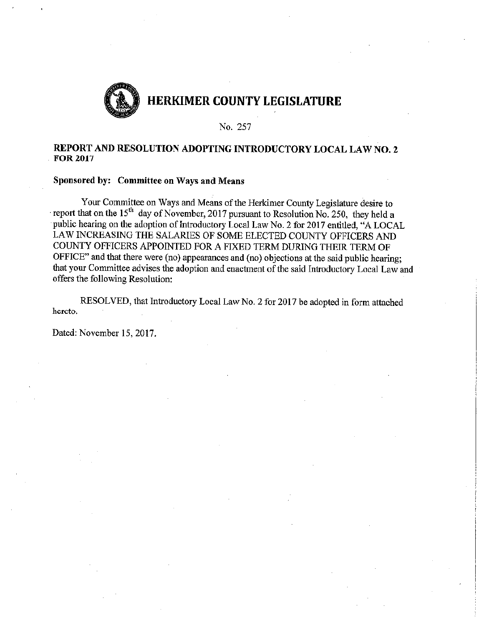

#### No. 257

### REPORT AND RESOLUTION ADOPTING INTRODUCTORY LOCAL LAW NO. 2 **FOR 2017**

#### Sponsored by: Committee on Ways and Means

Your Committee on Ways and Means of the Herkimer County Legislature desire to report that on the 15<sup>th</sup> day of November, 2017 pursuant to Resolution No. 250, they held a public hearing on the adoption of Introductory Local Law No. 2 for 2017 entitled, "A LOCAL LAW INCREASING THE SALARIES OF SOME ELECTED COUNTY OFFICERS AND COUNTY OFFICERS APPOINTED FOR A FIXED TERM DURING THEIR TERM OF OFFICE" and that there were (no) appearances and (no) objections at the said public hearing; that your Committee advises the adoption and enactment of the said Introductory Local Law and offers the following Resolution:

RESOLVED, that Introductory Local Law No. 2 for 2017 be adopted in form attached hereto.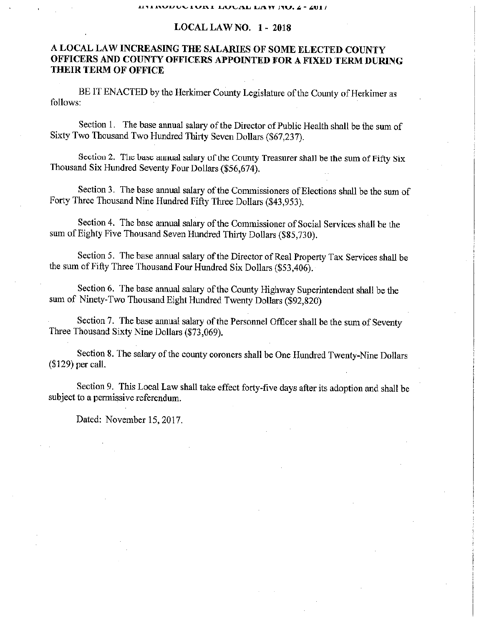#### **LOCAL LAW NO. 1 - 2018**

# A LOCAL LAW INCREASING THE SALARIES OF SOME ELECTED COUNTY OFFICERS AND COUNTY OFFICERS APPOINTED FOR A FIXED TERM DURING **THEIR TERM OF OFFICE**

BE IT ENACTED by the Herkimer County Legislature of the County of Herkimer as follows:

Section 1. The base annual salary of the Director of Public Health shall be the sum of Sixty Two Thousand Two Hundred Thirty Seven Dollars (\$67,237).

Section 2. The base annual salary of the County Treasurer shall be the sum of Fifty Six Thousand Six Hundred Seventy Four Dollars (\$56.674).

Section 3. The base annual salary of the Commissioners of Elections shall be the sum of Forty Three Thousand Nine Hundred Fifty Three Dollars (\$43,953).

Section 4. The base annual salary of the Commissioner of Social Services shall be the sum of Eighty Five Thousand Seven Hundred Thirty Dollars (\$85,730).

Section 5. The base annual salary of the Director of Real Property Tax Services shall be the sum of Fifty Three Thousand Four Hundred Six Dollars (\$53,406).

Section 6. The base annual salary of the County Highway Superintendent shall be the sum of Ninety-Two Thousand Eight Hundred Twenty Dollars (\$92,820)

Section 7. The base annual salary of the Personnel Officer shall be the sum of Seventy Three Thousand Sixty Nine Dollars (\$73,069).

Section 8. The salary of the county coroners shall be One Hundred Twenty-Nine Dollars (\$129) per call.

Section 9. This Local Law shall take effect forty-five days after its adoption and shall be subject to a permissive referendum.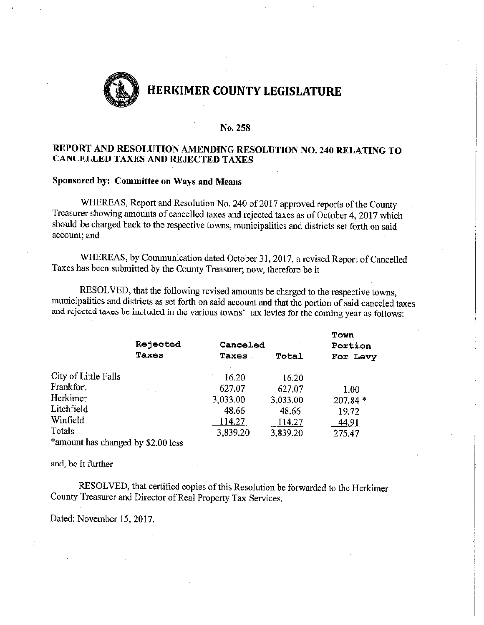

#### No. 258

# REPORT AND RESOLUTION AMENDING RESOLUTION NO. 240 RELATING TO **CANCELLED TAXES AND REJECTED TAXES**

### Sponsored by: Committee on Ways and Means

WHEREAS, Report and Resolution No. 240 of 2017 approved reports of the County Treasurer showing amounts of cancelled taxes and rejected taxes as of October 4, 2017 which should be charged back to the respective towns, municipalities and districts set forth on said account; and

WHEREAS, by Communication dated October 31, 2017, a revised Report of Cancelled Taxes has been submitted by the County Treasurer; now, therefore be it

RESOLVED, that the following revised amounts be charged to the respective towns, municipalities and districts as set forth on said account and that the portion of said canceled taxes and rejected taxes be included in the various towns' tax levies for the coming year as follows:

|                      | Rejected | Canceled |          | Town<br>Portion |  |
|----------------------|----------|----------|----------|-----------------|--|
|                      | Taxes    | Taxes    | Total    | For Levy        |  |
| City of Little Falls |          | 16.20    | 16.20    |                 |  |
| Frankfort            |          | 627.07   | 627.07   | 1.00            |  |
| Herkimer             |          | 3,033.00 | 3,033.00 | $207.84*$       |  |
| Litchfield           |          | 48.66    | 48.66    | 19.72           |  |
| Winfield             |          | 114.27   | 114.27   | 44,91           |  |
| Totals               |          | 3,839.20 | 3,839.20 | $-275.47$       |  |
|                      | . .<br>. |          |          |                 |  |

\*amount has changed by \$2.00 less

and, be it further

RESOLVED, that certified copies of this Resolution be forwarded to the Herkimer County Treasurer and Director of Real Property Tax Services.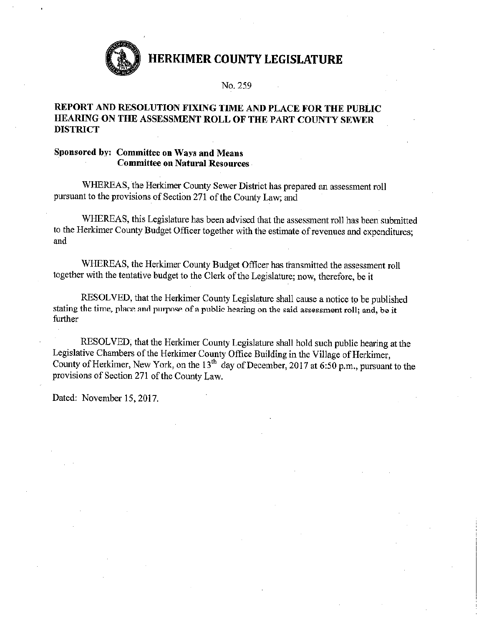

#### No. 259

### REPORT AND RESOLUTION FIXING TIME AND PLACE FOR THE PUBLIC HEARING ON THE ASSESSMENT ROLL OF THE PART COUNTY SEWER **DISTRICT**

### Sponsored by: Committee on Ways and Means **Committee on Natural Resources**

WHEREAS, the Herkimer County Sewer District has prepared an assessment roll pursuant to the provisions of Section 271 of the County Law; and

WHEREAS, this Legislature has been advised that the assessment roll has been submitted to the Herkimer County Budget Officer together with the estimate of revenues and expenditures: and

WHEREAS, the Herkimer County Budget Officer has transmitted the assessment roll together with the tentative budget to the Clerk of the Legislature; now, therefore, be it

RESOLVED, that the Herkimer County Legislature shall cause a notice to be published stating the time, place and purpose of a public hearing on the said assessment roll; and, be it further

RESOLVED, that the Herkimer County Legislature shall hold such public hearing at the Legislative Chambers of the Herkimer County Office Building in the Village of Herkimer, County of Herkimer, New York, on the 13<sup>th</sup> day of December, 2017 at 6:50 p.m., pursuant to the provisions of Section 271 of the County Law.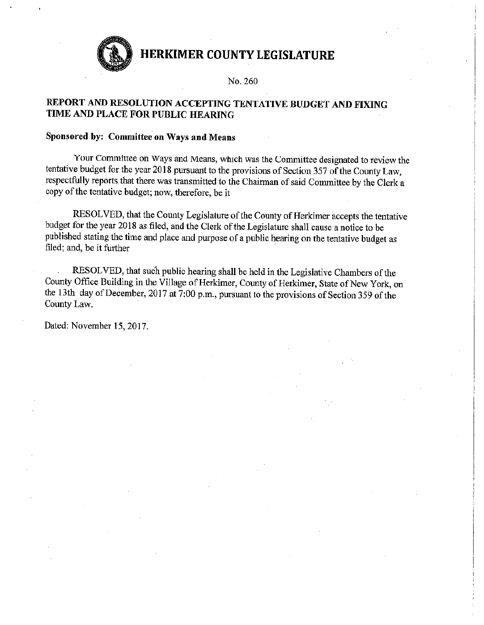

No. 260

# REPORT AND RESOLUTION ACCEPTING TENTATIVE BUDGET AND FIXING TIME AND PLACE FOR PUBLIC HEARING

#### Sponsored by: Committee on Ways and Means

Your Committee on Ways and Means, which was the Committee designated to review the tentative budget for the year 2018 pursuant to the provisions of Section 357 of the County Law, respectfully reports that there was transmitted to the Chairman of said Committee by the Clerk a copy of the tentative budget; now, therefore, be it

RESOLVED, that the County Legislature of the County of Herkimer accepts the tentative budget for the year 2018 as filed, and the Clerk of the Legislature shall cause a notice to be published stating the time and place and purpose of a public hearing on the tentative budget as filed; and, be it further

RESOLVED, that such public hearing shall be held in the Legislative Chambers of the County Office Building in the Village of Herkimer, County of Herkimer, State of New York, on the 13th day of December, 2017 at 7:00 p.m., pursuant to the provisions of Section 359 of the County Law.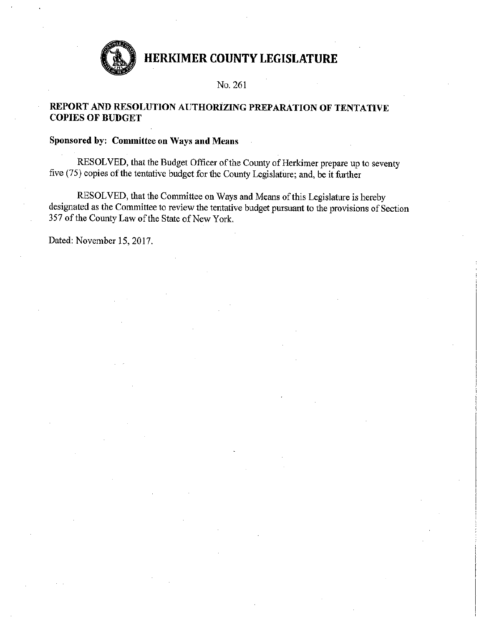

### No. 261

# REPORT AND RESOLUTION AUTHORIZING PREPARATION OF TENTATIVE **COPIES OF BUDGET**

# Sponsored by: Committee on Ways and Means

RESOLVED, that the Budget Officer of the County of Herkimer prepare up to seventy five (75) copies of the tentative budget for the County Legislature; and, be it further

RESOLVED, that the Committee on Ways and Means of this Legislature is hereby designated as the Committee to review the tentative budget pursuant to the provisions of Section 357 of the County Law of the State of New York.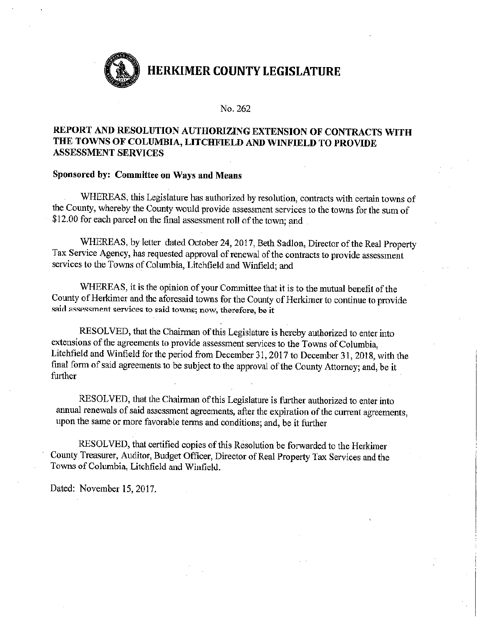

#### No. 262

# REPORT AND RESOLUTION AUTHORIZING EXTENSION OF CONTRACTS WITH THE TOWNS OF COLUMBIA, LITCHFIELD AND WINFIELD TO PROVIDE **ASSESSMENT SERVICES**

### Sponsored by: Committee on Ways and Means

WHEREAS, this Legislature has authorized by resolution, contracts with certain towns of the County, whereby the County would provide assessment services to the towns for the sum of \$12.00 for each parcel on the final assessment roll of the town; and

WHEREAS, by letter dated October 24, 2017, Beth Sadlon, Director of the Real Property Tax Service Agency, has requested approval of renewal of the contracts to provide assessment services to the Towns of Columbia, Litchfield and Winfield; and

WHEREAS, it is the opinion of your Committee that it is to the mutual benefit of the County of Herkimer and the aforesaid towns for the County of Herkimer to continue to provide said assessment services to said towns; now, therefore, be it

RESOLVED, that the Chairman of this Legislature is hereby authorized to enter into extensions of the agreements to provide assessment services to the Towns of Columbia, Litchfield and Winfield for the period from December 31, 2017 to December 31, 2018, with the final form of said agreements to be subject to the approval of the County Attorney; and, be it further

RESOLVED, that the Chairman of this Legislature is further authorized to enter into annual renewals of said assessment agreements, after the expiration of the current agreements, upon the same or more favorable terms and conditions; and, be it further

RESOLVED, that certified copies of this Resolution be forwarded to the Herkimer County Treasurer, Auditor, Budget Officer, Director of Real Property Tax Services and the Towns of Columbia, Litchfield and Winfield.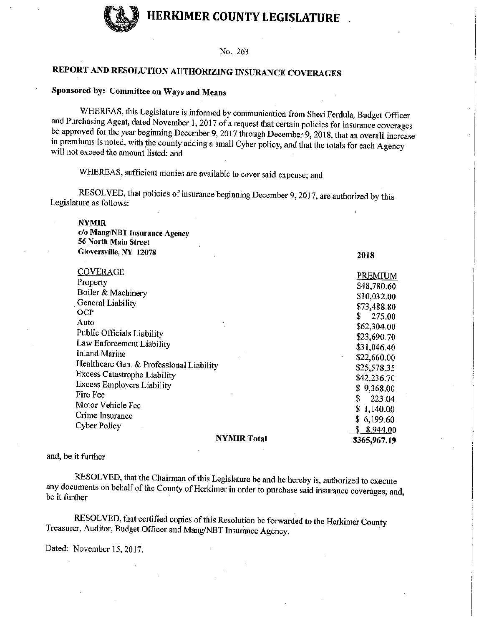

#### No. 263

# REPORT AND RESOLUTION AUTHORIZING INSURANCE COVERAGES

# Sponsored by: Committee on Ways and Means

WHEREAS, this Legislature is informed by communication from Sheri Ferdula, Budget Officer and Purchasing Agent, dated November 1, 2017 of a request that certain policies for insurance coverages be approved for the year beginning December 9, 2017 through December 9, 2018, that an overall increase in premiums is noted, with the county adding a small Cyber policy, and that the totals for each Agency will not exceed the amount listed; and

WHEREAS, sufficient monies are available to cover said expense; and

RESOLVED, that policies of insurance beginning December 9, 2017, are authorized by this Legislature as follows:

**NYMIR** 

c/o Mang/NBT Insurance Agency 56 North Main Street Gloversville, NY 12078

|                                          | .              |
|------------------------------------------|----------------|
| <b>COVERAGE</b>                          | PREMIUM        |
| Property                                 |                |
| Boiler & Machinery                       | \$48,780.60    |
| General Liability                        | \$10,032.00    |
| <b>OCP</b>                               | \$73,488.80    |
| Auto                                     | 275.00<br>S    |
|                                          | \$62,304.00    |
| Public Officials Liability               | \$23,690.70    |
| Law Enforcement Liability                | \$31,046.40    |
| Inland Marine                            | \$22,660.00    |
| Healthcare Gen. & Professional Liability | \$25,578.35    |
| <b>Excess Catastrophe Liability</b>      | \$42,236,70    |
| <b>Excess Employers Liability</b>        | \$9,368.00     |
| Fire Fee                                 | \$.            |
| Motor Vehicle Fee                        | 223.04         |
| Crime Insurance                          | \$1,140.00     |
|                                          | \$6,199.60     |
| Cyber Policy                             | 8,944.00<br>S. |
| <b>NYMIR Total</b>                       | \$365,967.19   |

2018

#### and, be it further

RESOLVED, that the Chairman of this Legislature be and he hereby is, authorized to execute any documents on behalf of the County of Herkimer in order to purchase said insurance coverages; and, be it further

RESOLVED, that certified copies of this Resolution be forwarded to the Herkimer County Treasurer, Auditor, Budget Officer and Mang/NBT Insurance Agency.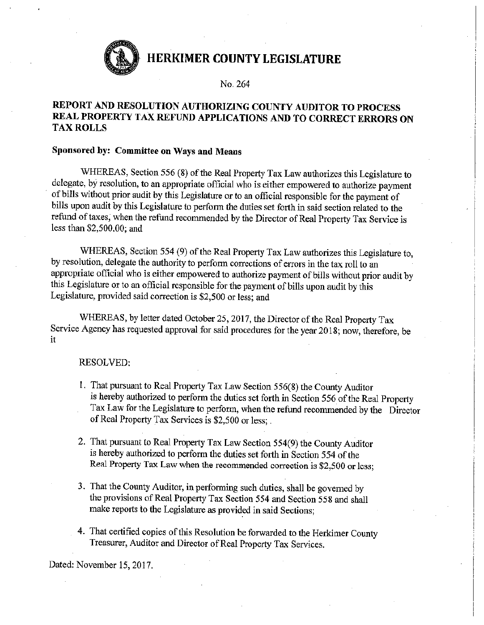

No. 264

# REPORT AND RESOLUTION AUTHORIZING COUNTY AUDITOR TO PROCESS REAL PROPERTY TAX REFUND APPLICATIONS AND TO CORRECT ERRORS ON **TAX ROLLS**

#### Sponsored by: Committee on Ways and Means

WHEREAS, Section 556 (8) of the Real Property Tax Law authorizes this Legislature to delegate, by resolution, to an appropriate official who is either empowered to authorize payment of bills without prior audit by this Legislature or to an official responsible for the payment of bills upon audit by this Legislature to perform the duties set forth in said section related to the refund of taxes, when the refund recommended by the Director of Real Property Tax Service is less than \$2,500.00; and

WHEREAS, Section 554 (9) of the Real Property Tax Law authorizes this Legislature to, by resolution, delegate the authority to perform corrections of errors in the tax roll to an appropriate official who is either empowered to authorize payment of bills without prior audit by this Legislature or to an official responsible for the payment of bills upon audit by this Legislature, provided said correction is \$2,500 or less; and

WHEREAS, by letter dated October 25, 2017, the Director of the Real Property Tax Service Agency has requested approval for said procedures for the year 2018; now, therefore, be it

#### **RESOLVED:**

- 1. That pursuant to Real Property Tax Law Section 556(8) the County Auditor is hereby authorized to perform the duties set forth in Section 556 of the Real Property Tax Law for the Legislature to perform, when the refund recommended by the Director of Real Property Tax Services is \$2,500 or less;
- 2. That pursuant to Real Property Tax Law Section 554(9) the County Auditor is hereby authorized to perform the duties set forth in Section 554 of the Real Property Tax Law when the recommended correction is \$2,500 or less;
- 3. That the County Auditor, in performing such duties, shall be governed by the provisions of Real Property Tax Section 554 and Section 558 and shall make reports to the Legislature as provided in said Sections;
- 4. That certified copies of this Resolution be forwarded to the Herkimer County Treasurer, Auditor and Director of Real Property Tax Services.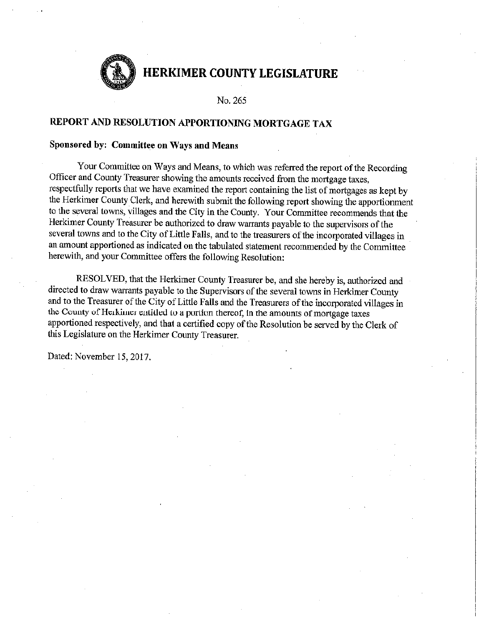

No. 265

# REPORT AND RESOLUTION APPORTIONING MORTGAGE TAX

#### Sponsored by: Committee on Ways and Means

Your Committee on Ways and Means, to which was referred the report of the Recording Officer and County Treasurer showing the amounts received from the mortgage taxes, respectfully reports that we have examined the report containing the list of mortgages as kept by the Herkimer County Clerk, and herewith submit the following report showing the apportionment to the several towns, villages and the City in the County. Your Committee recommends that the Herkimer County Treasurer be authorized to draw warrants payable to the supervisors of the several towns and to the City of Little Falls, and to the treasurers of the incorporated villages in an amount apportioned as indicated on the tabulated statement recommended by the Committee herewith, and your Committee offers the following Resolution:

RESOLVED, that the Herkimer County Treasurer be, and she hereby is, authorized and directed to draw warrants payable to the Supervisors of the several towns in Herkimer County and to the Treasurer of the City of Little Falls and the Treasurers of the incorporated villages in the County of Herkimer entitled to a portion thereof, in the amounts of mortgage taxes apportioned respectively, and that a certified copy of the Resolution be served by the Clerk of this Legislature on the Herkimer County Treasurer.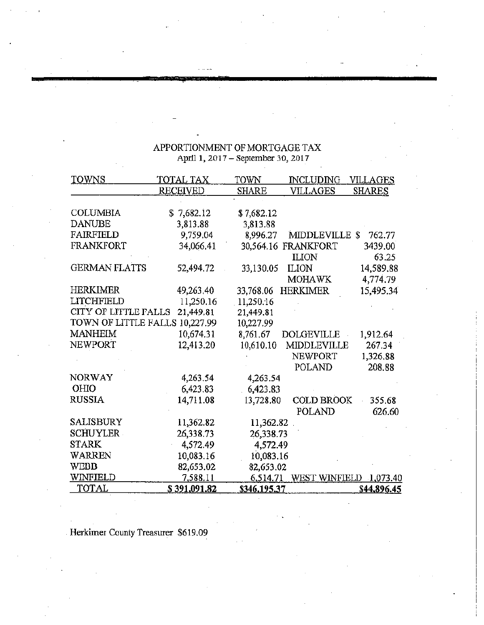# APPORTIONMENT OF MORTGAGE TAX<br>April 1, 2017 – September 30, 2017

| TOWNS                | TOTAL TAX       | TOWN         | <b>INCLUDING</b>       | <u>VILLAGES</u> |
|----------------------|-----------------|--------------|------------------------|-----------------|
|                      | <b>RECEIVED</b> | <b>SHARE</b> | VILLAGES               | <u>SHARES</u>   |
|                      |                 |              |                        |                 |
| <b>COLUMBIA</b>      | \$7,682.12      | \$7,682.12   |                        |                 |
| <b>DANUBE</b>        | 3,813.88        | 3,813.88     |                        |                 |
| FAIRFIELD            | 9,759.04        | 8,996.27     | <b>MIDDLEVILLE</b>     | S<br>762.77     |
| FRANKFORT            | 34,066.41       |              | 30,564.16 FRANKFORT    | 3439.00         |
|                      |                 |              | <b>ILION</b>           | 63.25           |
| <b>GERMAN FLATTS</b> | 52,494.72       | 33,130.05    | <b>ILION</b>           | 14,589.88       |
|                      |                 |              | MOHAWK                 | 4,774.79        |
| HERKIMER             | 49,263.40       | 33,768.06    | <b>HERKIMER</b>        | 15,495.34       |
| LITCHFIELD           | 11,250.16       | 11,250.16    |                        |                 |
| CITY OF LITTLE FALLS | 21,449.81       | 21,449.81    |                        |                 |
| TOWN OF LITTLE FALLS | 10,227.99       | 10,227.99    |                        |                 |
| <b>MANHEIM</b>       | 10,674.31       | 8,761.67     | <b>DOLGEVILLE</b>      | 1,912.64        |
| <b>NEWPORT</b>       | 12,413.20       | 10,610.10    | MIDDLEVILLE            | 267.34          |
|                      |                 |              | NEWPORT                | 1,326.88        |
|                      |                 |              | POLAND                 | 208.88          |
| <b>NORWAY</b>        | 4,263.54        | 4,263.54     |                        |                 |
| OHIO                 | 6,423.83        | 6,423.83     |                        |                 |
| <b>RUSSIA</b>        | 14,711.08       | 13,728.80    | <b>COLD BROOK</b>      | 355.68          |
|                      |                 |              | POLAND                 | 626.60          |
| SALISBURY            | 11,362.82       | 11,362.82    |                        |                 |
| <b>SCHUYLER</b>      | 26,338.73       | 26,338.73    |                        |                 |
| <b>STARK</b>         | 4,572.49        | 4,572.49     |                        |                 |
| WARREN               | 10,083.16       | 10,083.16    |                        |                 |
| WEBB                 | 82,653.02       | 82,653.02    |                        |                 |
| WINFIELD             | 7,588.11        | 6,514.71     | WEST WINFIELD 1,073.40 |                 |
| TOTAL                | \$391,091.82    | \$346,195.37 |                        | \$44,896.45     |

Herkimer County Treasurer \$619.09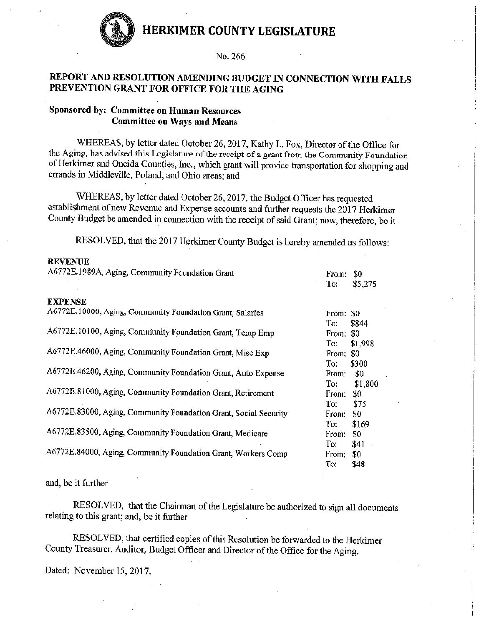

### No. 266

# REPORT AND RESOLUTION AMENDING BUDGET IN CONNECTION WITH FALLS PREVENTION GRANT FOR OFFICE FOR THE AGING

# Sponsored by: Committee on Human Resources **Committee on Ways and Means**

WHEREAS, by letter dated October 26, 2017, Kathy L. Fox, Director of the Office for the Aging, has advised this Legislature of the receipt of a grant from the Community Foundation of Herkimer and Oneida Counties, Inc., which grant will provide transportation for shopping and errands in Middleville, Poland, and Ohio areas; and

WHEREAS, by letter dated October 26, 2017, the Budget Officer has requested establishment of new Revenue and Expense accounts and further requests the 2017 Herkimer County Budget be amended in connection with the receipt of said Grant; now, therefore, be it

RESOLVED, that the 2017 Herkimer County Budget is hereby amended as follows:

#### **REVENUE**

| A6772E.1989A, Aging, Community Foundation Grant                  | \$0<br>From:<br>To:<br>\$5,275 |
|------------------------------------------------------------------|--------------------------------|
| <b>EXPENSE</b>                                                   |                                |
| A6772E.10000, Aging, Community Foundation Grant, Salaries        | From: \$0                      |
|                                                                  | To:<br>\$844                   |
| A6772E.10100, Aging, Community Foundation Grant, Temp Emp        | From: \$0                      |
|                                                                  | To:<br>\$1,998                 |
| A6772E.46000, Aging, Community Foundation Grant, Misc Exp        | From: \$0                      |
|                                                                  | \$300<br>To:                   |
| A6772E.46200, Aging, Community Foundation Grant, Auto Expense    | \$0<br>From:                   |
|                                                                  | \$1,800<br>To:                 |
| A6772E.81000, Aging, Community Foundation Grant, Retirement      | \$0<br>From:                   |
|                                                                  | To:<br>\$75                    |
| A6772E.83000, Aging, Community Foundation Grant, Social Security | \$0<br>From:                   |
|                                                                  | To:<br>\$169                   |
| A6772E.83500, Aging, Community Foundation Grant, Medicare        | \$0<br>From:                   |
|                                                                  | To:<br>\$41                    |
| A6772E.84000, Aging, Community Foundation Grant, Workers Comp    | \$0<br>From:                   |
|                                                                  | To:<br>\$48                    |

and, be it further

RESOLVED, that the Chairman of the Legislature be authorized to sign all documents relating to this grant; and, be it further

RESOLVED, that certified copies of this Resolution be forwarded to the Herkimer County Treasurer, Auditor, Budget Officer and Director of the Office for the Aging.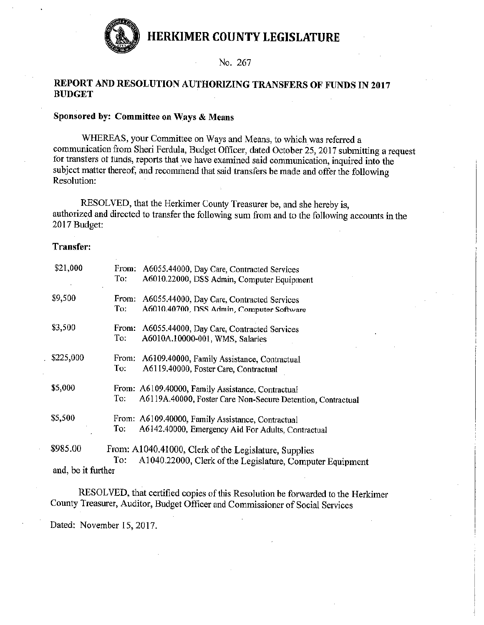

No. 267

### REPORT AND RESOLUTION AUTHORIZING TRANSFERS OF FUNDS IN 2017 **BUDGET**

# Sponsored by: Committee on Ways & Means

WHEREAS, your Committee on Ways and Means, to which was referred a communication from Sheri Ferdula, Budget Officer, dated October 25, 2017 submitting a request for transfers of funds, reports that we have examined said communication, inquired into the subject matter thereof, and recommend that said transfers be made and offer the following Resolution:

RESOLVED, that the Herkimer County Treasurer be, and she hereby is, authorized and directed to transfer the following sum from and to the following accounts in the 2017 Budget:

#### **Transfer:**

| \$21,000                       | From:<br>To: | A6055.44000, Day Care, Contracted Services<br>A6010.22000, DSS Admin, Computer Equipment                           |
|--------------------------------|--------------|--------------------------------------------------------------------------------------------------------------------|
| \$9,500                        | From:<br>To: | A6055.44000, Day Care, Contracted Services<br>A6010.40700, DSS Admin, Computer Software                            |
| \$3,500                        | From:<br>To: | A6055.44000, Day Care, Contracted Services<br>A6010A.10000-001, WMS, Salaries                                      |
| \$225,000                      | From:<br>To: | A6109.40000, Family Assistance, Contractual<br>A6119.40000, Foster Care, Contractual                               |
| \$5,000                        | To:          | From: A6109.40000, Family Assistance, Contractual<br>A6119A.40000, Foster Care Non-Secure Detention, Contractual   |
| \$5,500                        | To:          | From: A6109.40000, Family Assistance, Contractual<br>A6142.40000, Emergency Aid For Adults, Contractual            |
| \$985.00<br>and, be it further | To:          | From: A1040.41000, Clerk of the Legislature, Supplies<br>A1040.22000, Clerk of the Legislature, Computer Equipment |

RESOLVED, that certified copies of this Resolution be forwarded to the Herkimer County Treasurer, Auditor, Budget Officer and Commissioner of Social Services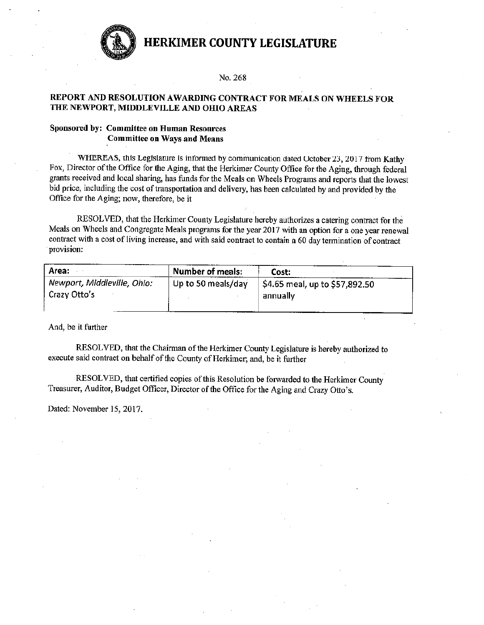

#### No. 268

#### REPORT AND RESOLUTION AWARDING CONTRACT FOR MEALS ON WHEELS FOR THE NEWPORT, MIDDLEVILLE AND OHIO AREAS

#### Sponsored by: Committee on Human Resources **Committee on Ways and Means**

WHEREAS, this Legislature is informed by communication dated October 23, 2017 from Kathy Fox, Director of the Office for the Aging, that the Herkimer County Office for the Aging, through federal grants received and local sharing, has funds for the Meals on Wheels Programs and reports that the lowest bid price, including the cost of transportation and delivery, has been calculated by and provided by the Office for the Aging; now, therefore, be it

RESOLVED, that the Herkimer County Legislature hereby authorizes a catering contract for the Meals on Wheels and Congregate Meals programs for the year 2017 with an option for a one year renewal contract with a cost of living increase, and with said contract to contain a 60 day termination of contract provision:

| Area:                                       | <b>Number of meals:</b> | Cost:                                        |
|---------------------------------------------|-------------------------|----------------------------------------------|
| Newport, Middleville, Ohio:<br>Crazy Otto's | Up to 50 meals/day      | \$4.65 meal, up to \$57,892.50  <br>annually |

And, be it further

RESOLVED, that the Chairman of the Herkimer County Legislature is hereby authorized to execute said contract on behalf of the County of Herkimer; and, be it further

RESOLVED, that certified copies of this Resolution be forwarded to the Herkimer County Treasurer, Auditor, Budget Officer, Director of the Office for the Aging and Crazy Otto's.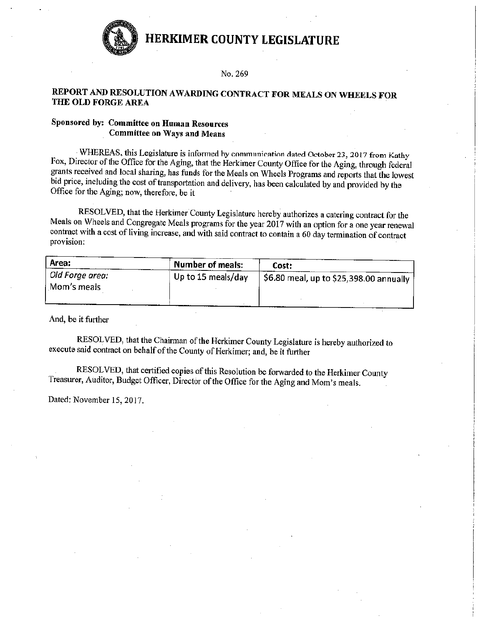

#### No. 269

### REPORT AND RESOLUTION AWARDING CONTRACT FOR MEALS ON WHEELS FOR THE OLD FORGE AREA

### Sponsored by: Committee on Human Resources **Committee on Ways and Means**

WHEREAS, this Legislature is informed by communication dated October 23, 2017 from Kathy Fox, Director of the Office for the Aging, that the Herkimer County Office for the Aging, through federal grants received and local sharing, has funds for the Meals on Wheels Programs and reports that the lowest bid price, including the cost of transportation and delivery, has been calculated by and provided by the Office for the Aging; now, therefore, be it

RESOLVED, that the Herkimer County Legislature hereby authorizes a catering contract for the Meals on Wheels and Congregate Meals programs for the year 2017 with an option for a one year renewal contract with a cost of living increase, and with said contract to contain a 60 day termination of contract provision:

| Area:                          | Number of meals:   | Cost:                                                          |
|--------------------------------|--------------------|----------------------------------------------------------------|
| Old Forge area:<br>Mom's meals | Up to 15 meals/day | $_{\rm i}$ \$6.80 meal, up to \$25,398.00 annually $^{\prime}$ |
|                                |                    |                                                                |

And, be it further

RESOLVED, that the Chairman of the Herkimer County Legislature is hereby authorized to execute said contract on behalf of the County of Herkimer; and, be it further

RESOLVED, that certified copies of this Resolution be forwarded to the Herkimer County Treasurer, Auditor, Budget Officer, Director of the Office for the Aging and Mom's meals.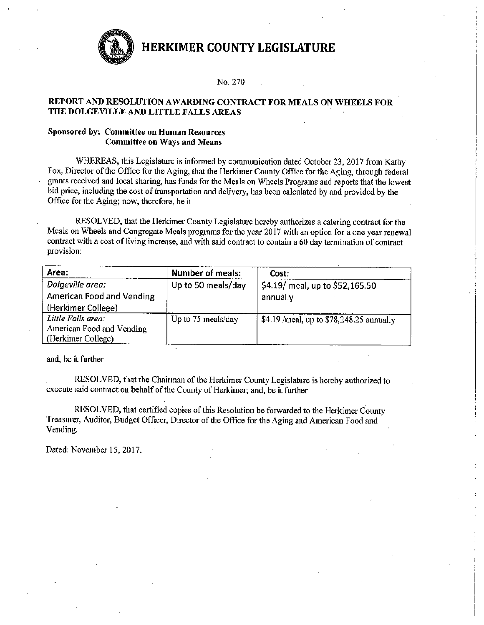

#### No. 270

#### REPORT AND RESOLUTION AWARDING CONTRACT FOR MEALS ON WHEELS FOR THE DOLGEVILLE AND LITTLE FALLS AREAS

#### **Sponsored by: Committee on Human Resources Committee on Ways and Means**

WHEREAS, this Legislature is informed by communication dated October 23, 2017 from Kathy Fox, Director of the Office for the Aging, that the Herkimer County Office for the Aging, through federal grants received and local sharing, has funds for the Meals on Wheels Programs and reports that the lowest bid price, including the cost of transportation and delivery, has been calculated by and provided by the Office for the Aging; now, therefore, be it

RESOLVED, that the Herkimer County Legislature hereby authorizes a catering contract for the Meals on Wheels and Congregate Meals programs for the year 2017 with an option for a one year renewal contract with a cost of living increase, and with said contract to contain a 60 day termination of contract provision:

| Area:                     | <b>Number of meals:</b> | Cost:                                    |
|---------------------------|-------------------------|------------------------------------------|
| Dolgeville area:          | Up to 50 meals/day      | \$4.19/ meal, up to \$52,165.50          |
| American Food and Vending |                         | annually                                 |
| (Herkimer College)        |                         |                                          |
| Little Falls area:        | Up to 75 meals/day      | \$4.19 /meal, up to \$78,248.25 annually |
| American Food and Vending |                         |                                          |
| (Herkimer College)        |                         |                                          |

and, be it further

RESOLVED, that the Chairman of the Herkimer County Legislature is hereby authorized to execute said contract on behalf of the County of Herkimer; and, be it further

RESOLVED, that certified copies of this Resolution be forwarded to the Herkimer County Treasurer, Auditor, Budget Officer, Director of the Office for the Aging and American Food and Vending.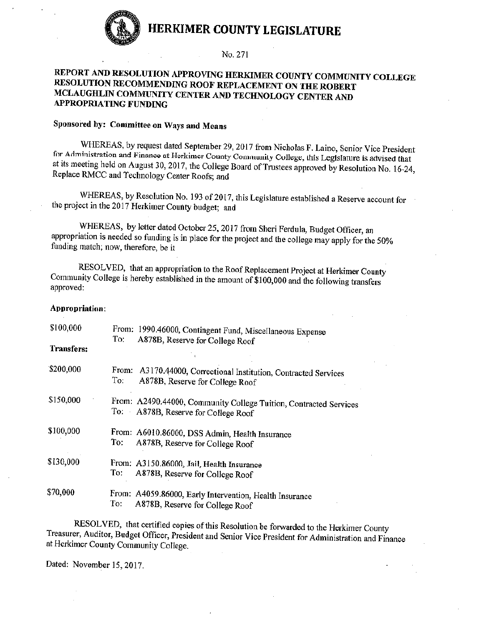

#### No. 271

### REPORT AND RESOLUTION APPROVING HERKIMER COUNTY COMMUNITY COLLEGE RESOLUTION RECOMMENDING ROOF REPLACEMENT ON THE ROBERT MCLAUGHLIN COMMUNITY CENTER AND TECHNOLOGY CENTER AND **APPROPRIATING FUNDING**

# Sponsored by: Committee on Ways and Means

WHEREAS, by request dated September 29, 2017 from Nicholas F. Laino, Senior Vice President for Administration and Finance at Herkimer County Community College, this Legislature is advised that at its meeting held on August 30, 2017, the College Board of Trustees approved by Resolution No. 16-24, Replace RMCC and Technology Center Roofs; and

WHEREAS, by Resolution No. 193 of 2017, this Legislature established a Reserve account for the project in the 2017 Herkimer County budget; and

WHEREAS, by letter dated October 25, 2017 from Sheri Ferdula, Budget Officer, an appropriation is needed so funding is in place for the project and the college may apply for the 50% funding match; now, therefore, be it

RESOLVED, that an appropriation to the Roof Replacement Project at Herkimer County Community College is hereby established in the amount of \$100,000 and the following transfers approved:

#### Appropriation:

| \$100,000<br>Transfers: | From: 1990.46000, Contingent Fund, Miscellaneous Expense<br>To:<br>A878B, Reserve for College Roof         |
|-------------------------|------------------------------------------------------------------------------------------------------------|
| \$200,000               | From: A3170.44000, Correctional Institution, Contracted Services<br>To:<br>A878B, Reserve for College Roof |
| \$150,000               | From: A2490.44000, Community College Tuition, Contracted Services<br>To: A878B, Reserve for College Roof   |
| \$100,000               | From: A6010.86000, DSS Admin, Health Insurance<br>To:<br>A878B, Reserve for College Roof                   |
| \$130,000               | From: A3150.86000, Jail, Health Insurance<br>To:<br>A878B, Reserve for College Roof                        |
| \$70,000                | From: A4059.86000, Early Intervention, Health Insurance<br>To:<br>A878B, Reserve for College Roof          |

RESOLVED, that certified copies of this Resolution be forwarded to the Herkimer County Treasurer, Auditor, Budget Officer, President and Senior Vice President for Administration and Finance at Herkimer County Community College.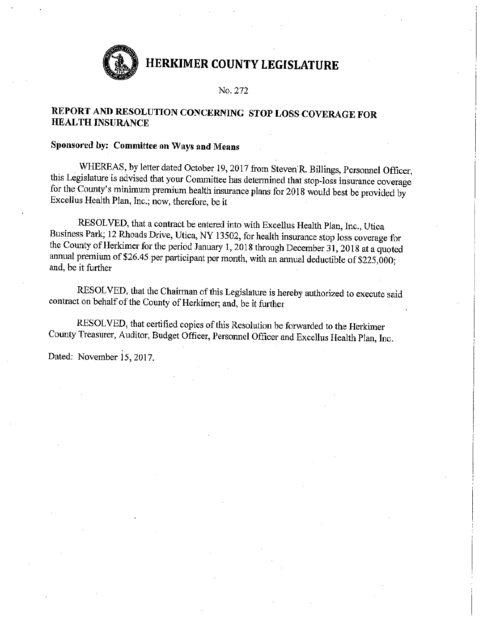No. 272

# REPORT AND RESOLUTION CONCERNING STOP LOSS COVERAGE FOR **HEALTH INSURANCE**

# Sponsored by: Committee on Ways and Means

WHEREAS, by letter dated October 19, 2017 from Steven R. Billings, Personnel Officer, this Legislature is advised that your Committee has determined that stop-loss insurance coverage for the County's minimum premium health insurance plans for 2018 would best be provided by Excellus Health Plan, Inc.; now, therefore, be it

RESOLVED, that a contract be entered into with Excellus Health Plan, Inc., Utica Business Park; 12 Rhoads Drive, Utica, NY 13502, for health insurance stop loss coverage for the County of Herkimer for the period January 1, 2018 through December 31, 2018 at a quoted annual premium of \$26.45 per participant per month, with an annual deductible of \$225,000; and, be it further

RESOLVED, that the Chairman of this Legislature is hereby authorized to execute said contract on behalf of the County of Herkimer; and, be it further

RESOLVED, that certified copies of this Resolution be forwarded to the Herkimer County Treasurer, Auditor, Budget Officer, Personnel Officer and Excellus Health Plan, Inc.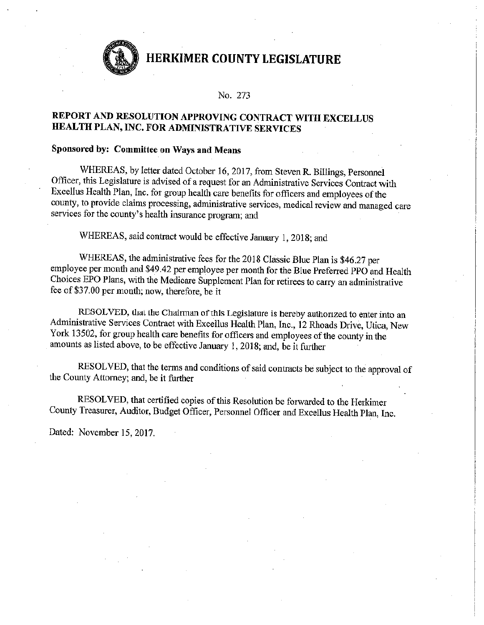

#### No. 273

# REPORT AND RESOLUTION APPROVING CONTRACT WITH EXCELLUS HEALTH PLAN, INC. FOR ADMINISTRATIVE SERVICES

# Sponsored by: Committee on Ways and Means

WHEREAS, by letter dated October 16, 2017, from Steven R. Billings, Personnel Officer, this Legislature is advised of a request for an Administrative Services Contract with Excellus Health Plan, Inc. for group health care benefits for officers and employees of the county, to provide claims processing, administrative services, medical review and managed care services for the county's health insurance program; and

WHEREAS, said contract would be effective January 1, 2018; and

WHEREAS, the administrative fees for the 2018 Classic Blue Plan is \$46.27 per employee per month and \$49.42 per employee per month for the Blue Preferred PPO and Health Choices EPO Plans, with the Medicare Supplement Plan for retirees to carry an administrative fee of \$37.00 per month; now, therefore, be it

RESOLVED, that the Chairman of this Legislature is hereby authorized to enter into an Administrative Services Contract with Excellus Health Plan, Inc., 12 Rhoads Drive, Utica, New York 13502, for group health care benefits for officers and employees of the county in the amounts as listed above, to be effective January 1, 2018; and, be it further

RESOLVED, that the terms and conditions of said contracts be subject to the approval of the County Attorney; and, be it further

RESOLVED, that certified copies of this Resolution be forwarded to the Herkimer County Treasurer, Auditor, Budget Officer, Personnel Officer and Excellus Health Plan, Inc.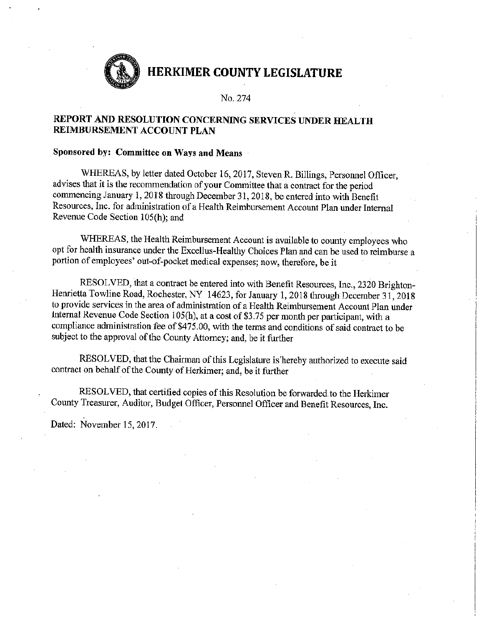

No. 274

# REPORT AND RESOLUTION CONCERNING SERVICES UNDER HEALTH REIMBURSEMENT ACCOUNT PLAN

### Sponsored by: Committee on Ways and Means

WHEREAS, by letter dated October 16, 2017, Steven R. Billings, Personnel Officer, advises that it is the recommendation of your Committee that a contract for the period commencing January 1, 2018 through December 31, 2018, be entered into with Benefit Resources, Inc. for administration of a Health Reimbursement Account Plan under Internal Revenue Code Section 105(h); and

WHEREAS, the Health Reimbursement Account is available to county employees who opt for health insurance under the Excellus-Healthy Choices Plan and can be used to reimburse a portion of employees' out-of-pocket medical expenses; now, therefore, be it

RESOLVED, that a contract be entered into with Benefit Resources, Inc., 2320 Brighton-Henrietta Towline Road, Rochester, NY 14623, for January 1, 2018 through December 31, 2018 to provide services in the area of administration of a Health Reimbursement Account Plan under Internal Revenue Code Section 105(h), at a cost of \$3.75 per month per participant, with a compliance administration fee of \$475.00, with the terms and conditions of said contract to be subject to the approval of the County Attorney; and, be it further

RESOLVED, that the Chairman of this Legislature is hereby authorized to execute said contract on behalf of the County of Herkimer; and, be it further

RESOLVED, that certified copies of this Resolution be forwarded to the Herkimer County Treasurer, Auditor, Budget Officer, Personnel Officer and Benefit Resources, Inc.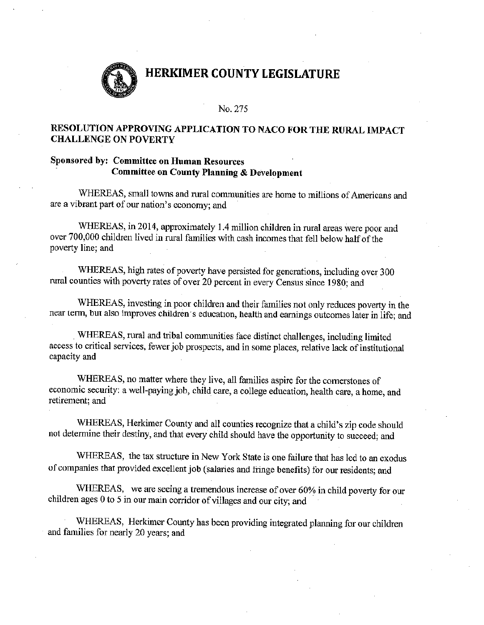

#### No. 275

# RESOLUTION APPROVING APPLICATION TO NACO FOR THE RURAL IMPACT **CHALLENGE ON POVERTY**

# Sponsored by: Committee on Human Resources **Committee on County Planning & Development**

WHEREAS, small towns and rural communities are home to millions of Americans and are a vibrant part of our nation's economy; and

WHEREAS, in 2014, approximately 1.4 million children in rural areas were poor and over 700,000 children lived in rural families with cash incomes that fell below half of the poverty line; and

WHEREAS, high rates of poverty have persisted for generations, including over 300 rural counties with poverty rates of over 20 percent in every Census since 1980; and

WHEREAS, investing in poor children and their families not only reduces poverty in the near term, but also improves children's education, health and earnings outcomes later in life; and

WHEREAS, rural and tribal communities face distinct challenges, including limited access to critical services, fewer job prospects, and in some places, relative lack of institutional capacity and

WHEREAS, no matter where they live, all families aspire for the cornerstones of economic security: a well-paying job, child care, a college education, health care, a home, and retirement; and

WHEREAS, Herkimer County and all counties recognize that a child's zip code should not determine their destiny, and that every child should have the opportunity to succeed; and

WHEREAS, the tax structure in New York State is one failure that has led to an exodus of companies that provided excellent job (salaries and fringe benefits) for our residents; and

WHEREAS, we are seeing a tremendous increase of over 60% in child poverty for our children ages 0 to 5 in our main corridor of villages and our city; and

WHEREAS, Herkimer County has been providing integrated planning for our children and families for nearly 20 years; and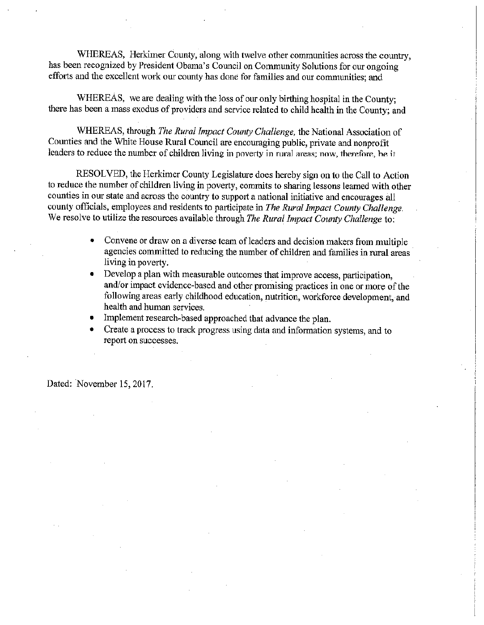WHEREAS, Herkimer County, along with twelve other communities across the country, has been recognized by President Obama's Council on Community Solutions for our ongoing efforts and the excellent work our county has done for families and our communities; and

WHEREAS, we are dealing with the loss of our only birthing hospital in the County; there has been a mass exodus of providers and service related to child health in the County; and

WHEREAS, through The Rural Impact County Challenge, the National Association of Counties and the White House Rural Council are encouraging public, private and nonprofit leaders to reduce the number of children living in poverty in rural areas; now, therefore, be it

RESOLVED, the Herkimer County Legislature does hereby sign on to the Call to Action to reduce the number of children living in poverty, commits to sharing lessons learned with other counties in our state and across the country to support a national initiative and encourages all county officials, employees and residents to participate in The Rural Impact County Challenge. We resolve to utilize the resources available through The Rural Impact County Challenge to:

- Convene or draw on a diverse team of leaders and decision makers from multiple agencies committed to reducing the number of children and families in rural areas living in poverty.
- Develop a plan with measurable outcomes that improve access, participation, and/or impact evidence-based and other promising practices in one or more of the following areas early childhood education, nutrition, workforce development, and health and human services.
- Implement research-based approached that advance the plan.
- Create a process to track progress using data and information systems, and to report on successes.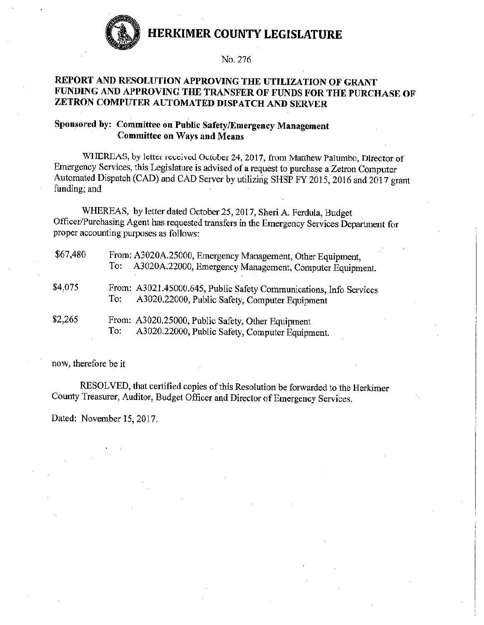

#### No. 276

# REPORT AND RESOLUTION APPROVING THE UTILIZATION OF GRANT FUNDING AND APPROVING THE TRANSFER OF FUNDS FOR THE PURCHASE OF ZETRON COMPUTER AUTOMATED DISPATCH AND SERVER

# Sponsored by: Committee on Public Safety/Emergency Management **Committee on Ways and Means**

WHEREAS, by letter received October 24, 2017, from Matthew Palumbo, Director of Emergency Services, this Legislature is advised of a request to purchase a Zetron Computer Automated Dispatch (CAD) and CAD Server by utilizing SHSP FY 2015, 2016 and 2017 grant funding; and

WHEREAS, by letter dated October 25, 2017, Sheri A. Ferdula, Budget Officer/Purchasing Agent has requested transfers in the Emergency Services Department for proper accounting purposes as follows:

| \$67,480 | From: A3020A.25000, Emergency Management, Other Equipment,<br>A3020A.22000, Emergency Management, Computer Equipment.<br>To: |
|----------|------------------------------------------------------------------------------------------------------------------------------|
| \$4,075  | From: A3021.45000.645, Public Safety Communications, Info Services<br>A3020.22000, Public Safety, Computer Equipment<br>To:  |
| \$2,265  | From: A3020.25000, Public Safety, Other Equipment<br>A3020.22000, Public Safety, Computer Equipment.<br>To:                  |

now, therefore be it

RESOLVED, that certified copies of this Resolution be forwarded to the Herkimer County Treasurer, Auditor, Budget Officer and Director of Emergency Services.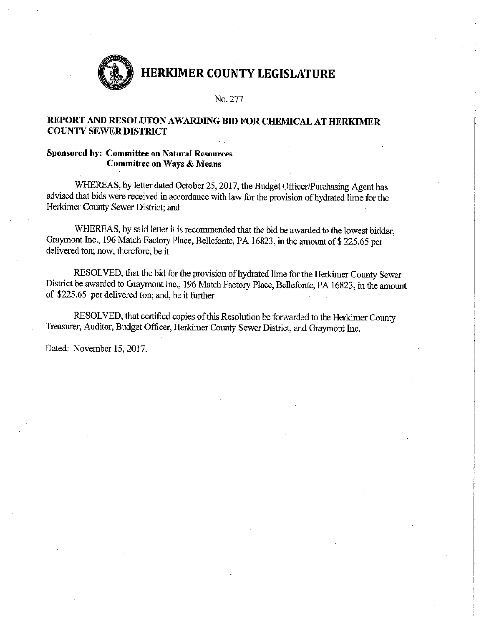

No. 277

# REPORT AND RESOLUTON AWARDING BID FOR CHEMICAL AT HERKIMER **COUNTY SEWER DISTRICT**

#### **Sponsored by: Committee on Natural Resources Committee on Ways & Means**

WHEREAS, by letter dated October 25, 2017, the Budget Officer/Purchasing Agent has advised that bids were received in accordance with law for the provision of hydrated lime for the Herkimer County Sewer District; and

WHEREAS, by said letter it is recommended that the bid be awarded to the lowest bidder, Graymont Inc., 196 Match Factory Place, Bellefonte, PA 16823, in the amount of \$225.65 per delivered ton; now, therefore, be it

RESOLVED, that the bid for the provision of hydrated lime for the Herkimer County Sewer District be awarded to Graymont Inc., 196 Match Factory Place, Bellefonte, PA 16823, in the amount of \$225.65 per delivered ton; and, be it further

RESOLVED, that certified copies of this Resolution be forwarded to the Herkimer County Treasurer, Auditor, Budget Officer, Herkimer County Sewer District, and Graymont Inc.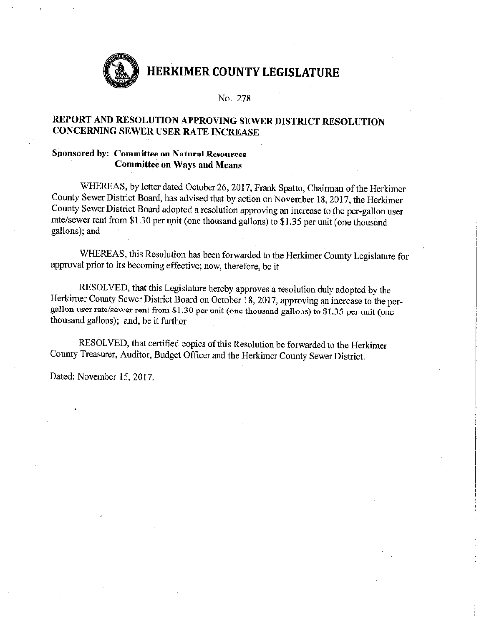

### No. 278

# REPORT AND RESOLUTION APPROVING SEWER DISTRICT RESOLUTION CONCERNING SEWER USER RATE INCREASE

### **Sponsored by: Committee on Natural Resources Committee on Ways and Means**

WHEREAS, by letter dated October 26, 2017, Frank Spatto, Chairman of the Herkimer County Sewer District Board, has advised that by action on November 18, 2017, the Herkimer County Sewer District Board adopted a resolution approving an increase to the per-gallon user rate/sewer rent from \$1.30 per unit (one thousand gallons) to \$1.35 per unit (one thousand gallons); and

WHEREAS, this Resolution has been forwarded to the Herkimer County Legislature for approval prior to its becoming effective; now, therefore, be it

RESOLVED, that this Legislature hereby approves a resolution duly adopted by the Herkimer County Sewer District Board on October 18, 2017, approving an increase to the pergallon user rate/sewer rent from \$1.30 per unit (one thousand gallons) to \$1.35 per unit (one thousand gallons); and, be it further

RESOLVED, that certified copies of this Resolution be forwarded to the Herkimer County Treasurer, Auditor, Budget Officer and the Herkimer County Sewer District.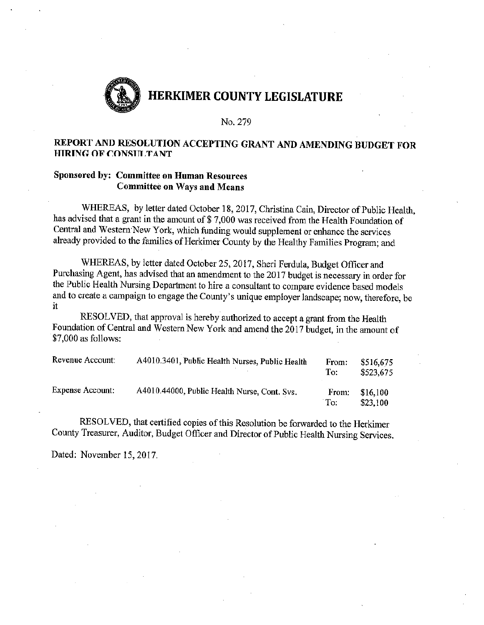

#### No. 279

# REPORT AND RESOLUTION ACCEPTING GRANT AND AMENDING BUDGET FOR **HIRING OF CONSULTANT**

# Sponsored by: Committee on Human Resources **Committee on Ways and Means**

WHEREAS, by letter dated October 18, 2017, Christina Cain, Director of Public Health, has advised that a grant in the amount of \$7,000 was received from the Health Foundation of Central and Western New York, which funding would supplement or enhance the services already provided to the families of Herkimer County by the Healthy Families Program; and

WHEREAS, by letter dated October 25, 2017, Sheri Ferdula, Budget Officer and Purchasing Agent, has advised that an amendment to the 2017 budget is necessary in order for the Public Health Nursing Department to hire a consultant to compare evidence based models and to create a campaign to engage the County's unique employer landscape; now, therefore, be  $\mathbf{H}$ 

RESOLVED, that approval is hereby authorized to accept a grant from the Health Foundation of Central and Western New York and amend the 2017 budget, in the amount of \$7,000 as follows:

| Revenue Account:        | A4010.3401, Public Health Nurses, Public Health | From:<br>To: | \$516,675<br>\$523,675 |
|-------------------------|-------------------------------------------------|--------------|------------------------|
| <b>Expense Account:</b> | A4010.44000, Public Health Nurse, Cont. Svs.    | From:<br>To: | \$16,100<br>\$23,100   |

RESOLVED, that certified copies of this Resolution be forwarded to the Herkimer County Treasurer, Auditor, Budget Officer and Director of Public Health Nursing Services.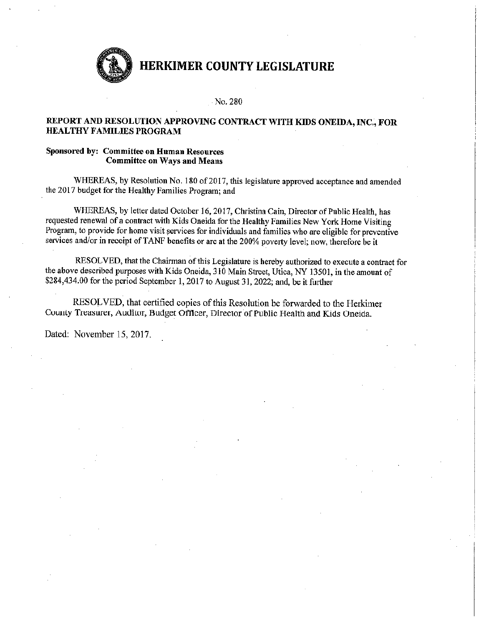

#### No. 280

#### REPORT AND RESOLUTION APPROVING CONTRACT WITH KIDS ONEIDA, INC., FOR HEALTHY FAMILIES PROGRAM

#### Sponsored by: Committee on Human Resources **Committee on Ways and Means**

WHEREAS, by Resolution No. 180 of 2017, this legislature approved acceptance and amended the 2017 budget for the Healthy Families Program; and

WHEREAS, by letter dated October 16, 2017, Christina Cain, Director of Public Health, has requested renewal of a contract with Kids Oneida for the Healthy Families New York Home Visiting Program, to provide for home visit services for individuals and families who are eligible for preventive services and/or in receipt of TANF benefits or are at the 200% poverty level; now, therefore be it

RESOLVED, that the Chairman of this Legislature is hereby authorized to execute a contract for the above described purposes with Kids Oneida, 310 Main Street, Utica, NY 13501, in the amount of \$284,434.00 for the period September 1, 2017 to August 31, 2022; and, be it further

RESOLVED, that certified copies of this Resolution be forwarded to the Herkimer County Treasurer, Auditor, Budget Officer, Director of Public Health and Kids Oneida.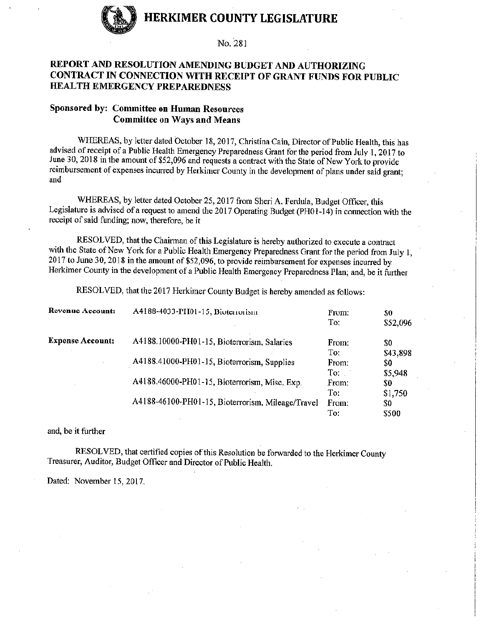

No. 281

# REPORT AND RESOLUTION AMENDING BUDGET AND AUTHORIZING CONTRACT IN CONNECTION WITH RECEIPT OF GRANT FUNDS FOR PUBLIC **HEALTH EMERGENCY PREPAREDNESS**

### Sponsored by: Committee on Human Resources **Committee on Ways and Means**

WHEREAS, by letter dated October 18, 2017, Christina Cain, Director of Public Health, this has advised of receipt of a Public Health Emergency Preparedness Grant for the period from July 1, 2017 to June 30, 2018 in the amount of \$52,096 and requests a contract with the State of New York to provide reimbursement of expenses incurred by Herkimer County in the development of plans under said grant; and

WHEREAS, by letter dated October 25, 2017 from Sheri A. Ferdula, Budget Officer, this Legislature is advised of a request to amend the 2017 Operating Budget (PH01-14) in connection with the receipt of said funding; now, therefore, be it

RESOLVED, that the Chairman of this Legislature is hereby authorized to execute a contract with the State of New York for a Public Health Emergency Preparedness Grant for the period from July 1, 2017 to June 30, 2018 in the amount of \$52,096, to provide reimbursement for expenses incurred by Herkimer County in the development of a Public Health Emergency Preparedness Plan; and, be it further

RESOLVED, that the 2017 Herkimer County Budget is hereby amended as follows:

| <b>Revenue Account:</b> | A4188-4033-PH01-15, Bioterrorism                  | From:<br>To: | \$0<br>\$52,096 |
|-------------------------|---------------------------------------------------|--------------|-----------------|
| <b>Expense Account:</b> | A4188.10000-PH01-15, Bioterrorism, Salaries       | From:        | \$0             |
|                         |                                                   | To:          | \$43,898        |
|                         | A4188.41000-PH01-15, Bioterrorism, Supplies       | From:        | \$0             |
|                         |                                                   | To:          | \$5,948         |
|                         | A4188.46000-PH01-15, Bioterrorism, Misc. Exp.     | From:        | \$0             |
|                         |                                                   | To:          | \$1,750         |
|                         | A4188-46100-PH01-15, Bioterrorism, Mileage/Travel | From:        | \$0             |
|                         |                                                   | To:          | \$500           |

and, be it further

RESOLVED, that certified copies of this Resolution be forwarded to the Herkimer County Treasurer, Auditor, Budget Officer and Director of Public Health.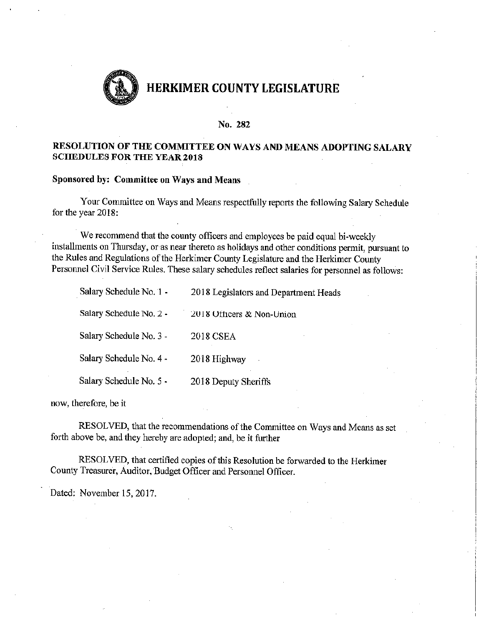

#### No. 282

### RESOLUTION OF THE COMMITTEE ON WAYS AND MEANS ADOPTING SALARY **SCHEDULES FOR THE YEAR 2018**

### Sponsored by: Committee on Ways and Means

Your Committee on Ways and Means respectfully reports the following Salary Schedule for the year 2018:

We recommend that the county officers and employees be paid equal bi-weekly installments on Thursday, or as near thereto as holidays and other conditions permit, pursuant to the Rules and Regulations of the Herkimer County Legislature and the Herkimer County Personnel Civil Service Rules. These salary schedules reflect salaries for personnel as follows:

| Salary Schedule No. 1 - | 2018 Legislators and Department Heads |
|-------------------------|---------------------------------------|
| Salary Schedule No. 2 - | 2018 Officers & Non-Union             |
| Salary Schedule No. 3 - | 2018 CSEA                             |
| Salary Schedule No. 4 - | 2018 Highway                          |
| Salary Schedule No. 5 - | 2018 Deputy Sheriffs                  |

now, therefore, be it

RESOLVED, that the recommendations of the Committee on Ways and Means as set forth above be, and they hereby are adopted; and, be it further

RESOLVED, that certified copies of this Resolution be forwarded to the Herkimer County Treasurer, Auditor, Budget Officer and Personnel Officer.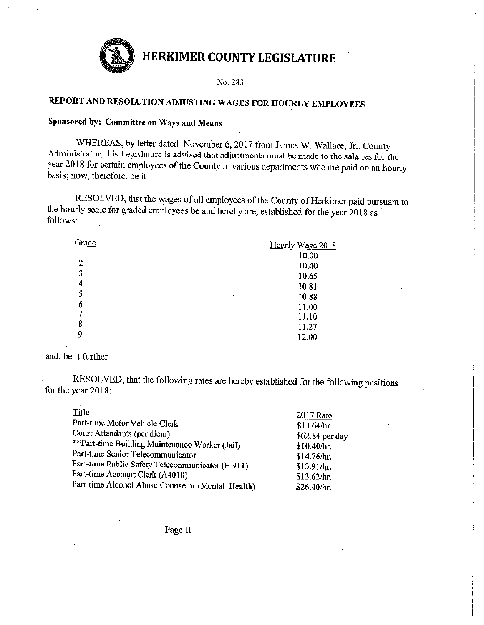

No. 283

# REPORT AND RESOLUTION ADJUSTING WAGES FOR HOURLY EMPLOYEES

### Sponsored by: Committee on Ways and Means

WHEREAS, by letter dated November 6, 2017 from James W. Wallace, Jr., County Administrator, this Legislature is advised that adjustments must be made to the salaries for the year 2018 for certain employees of the County in various departments who are paid on an hourly basis; now, therefore, be it

RESOLVED, that the wages of all employees of the County of Herkimer paid pursuant to the hourly scale for graded employees be and hereby are, established for the year 2018 as follows:

| Grade  | Hourly Wage 2018              |
|--------|-------------------------------|
| ٠      | 10.00<br>$\cdot$              |
| 2      | 10.40                         |
| 3      | 10.65                         |
| 4      | 10.81                         |
|        | 10.88<br>$\cdot$              |
| 6      | 11.00                         |
|        | 11.10                         |
| 8      | 11.27<br>$\ddot{\phantom{0}}$ |
| 9<br>٠ | 12.00<br>٠                    |

#### and, be it further

RESOLVED, that the following rates are hereby established for the following positions for the year 2018:

| Title                                             | 2017 Rate       |
|---------------------------------------------------|-----------------|
| Part-time Motor Vehicle Clerk                     | \$13.64/hr.     |
| Court Attendants (per diem)                       | \$62.84 per day |
| **Part-time Building Maintenance Worker (Jail)    | \$10.40/hr.     |
| Part-time Senior Telecommunicator                 | \$14.76/hr.     |
| Part-time Public Safety Telecommunicator (E-911)  | \$13.91/hr.     |
| Part-time Account Clerk (A4010)                   | \$13.62/hr.     |
| Part-time Alcohol Abuse Counselor (Mental Health) | \$26.40/hr.     |
|                                                   |                 |

Page II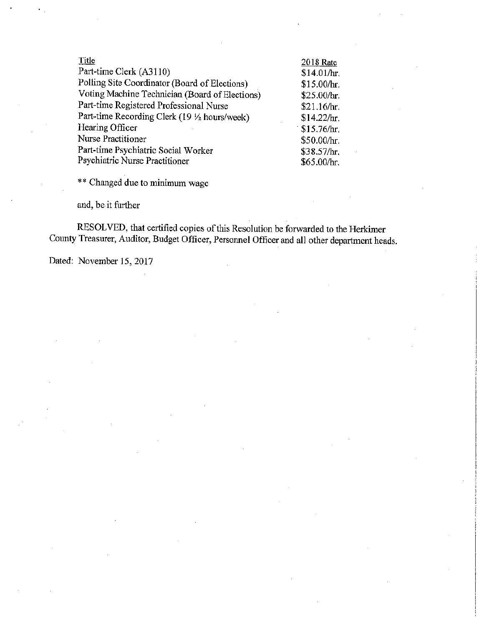| Title                                          | 2018 Rate   |
|------------------------------------------------|-------------|
| Part-time Clerk (A3110)                        | \$14.01/hr. |
| Polling Site Coordinator (Board of Elections)  | \$15.00/hr. |
| Voting Machine Technician (Board of Elections) | \$25.00/hr. |
| Part-time Registered Professional Nurse        | \$21.16/hr. |
| Part-time Recording Clerk (19 1/2 hours/week)  | \$14.22/hr. |
| Hearing Officer                                | \$15.76/hr. |
| Nurse Practitioner                             | \$50.00/hr. |
| Part-time Psychiatric Social Worker            | \$38.57/hr. |
| Psychiatric Nurse Practitioner                 | \$65.00/hr. |

\*\* Changed due to minimum wage

and, be it further

RESOLVED, that certified copies of this Resolution be forwarded to the Herkimer County Treasurer, Auditor, Budget Officer, Personnel Officer and all other department heads.

Dated: November 15, 2017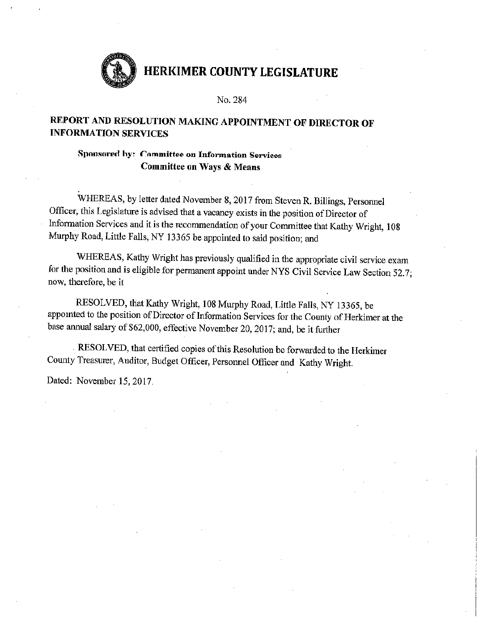

No. 284

# REPORT AND RESOLUTION MAKING APPOINTMENT OF DIRECTOR OF **INFORMATION SERVICES**

Sponsored by: Committee on Information Services Committee on Ways & Means

WHEREAS, by letter dated November 8, 2017 from Steven R. Billings, Personnel Officer, this Legislature is advised that a vacancy exists in the position of Director of Information Services and it is the recommendation of your Committee that Kathy Wright, 108 Murphy Road, Little Falls, NY 13365 be appointed to said position; and

WHEREAS, Kathy Wright has previously qualified in the appropriate civil service exam for the position and is eligible for permanent appoint under NYS Civil Service Law Section 52.7; now, therefore, be it

RESOLVED, that Kathy Wright, 108 Murphy Road, Little Falls, NY 13365, be appointed to the position of Director of Information Services for the County of Herkimer at the base annual salary of \$62,000, effective November 20, 2017; and, be it further

RESOLVED, that certified copies of this Resolution be forwarded to the Herkimer County Treasurer, Auditor, Budget Officer, Personnel Officer and Kathy Wright.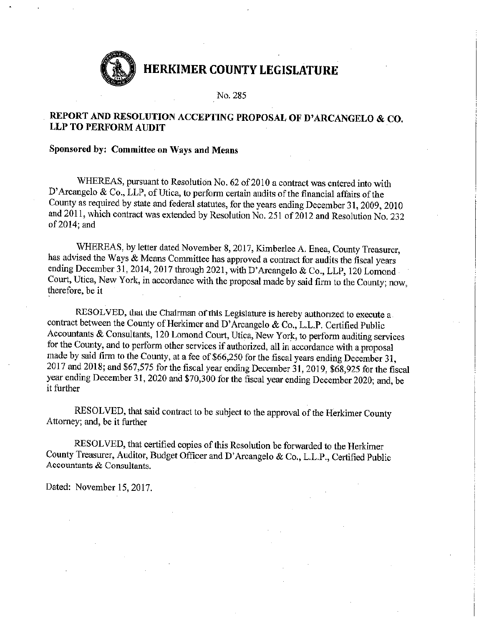No. 285

# REPORT AND RESOLUTION ACCEPTING PROPOSAL OF D'ARCANGELO & CO. **LLP TO PERFORM AUDIT**

# Sponsored by: Committee on Ways and Means

WHEREAS, pursuant to Resolution No. 62 of 2010 a contract was entered into with D'Arcangelo & Co., LLP, of Utica, to perform certain audits of the financial affairs of the County as required by state and federal statutes, for the years ending December 31, 2009, 2010 and 2011, which contract was extended by Resolution No. 251 of 2012 and Resolution No. 232 of 2014; and

WHEREAS, by letter dated November 8, 2017, Kimberlee A. Enea, County Treasurer, has advised the Ways & Means Committee has approved a contract for audits the fiscal years ending December 31, 2014, 2017 through 2021, with D'Arcangelo & Co., LLP, 120 Lomond Court, Utica, New York, in accordance with the proposal made by said firm to the County; now, therefore, be it

RESOLVED, that the Chairman of this Legislature is hereby authorized to execute a contract between the County of Herkimer and D'Arcangelo & Co., L.L.P. Certified Public Accountants & Consultants, 120 Lomond Court, Utica, New York, to perform auditing services for the County, and to perform other services if authorized, all in accordance with a proposal made by said firm to the County, at a fee of \$66,250 for the fiscal years ending December 31, 2017 and 2018; and \$67,575 for the fiscal year ending December 31, 2019, \$68,925 for the fiscal year ending December 31, 2020 and \$70,300 for the fiscal year ending December 2020; and, be it further

RESOLVED, that said contract to be subject to the approval of the Herkimer County Attorney; and, be it further

RESOLVED, that certified copies of this Resolution be forwarded to the Herkimer County Treasurer, Auditor, Budget Officer and D'Arcangelo & Co., L.L.P., Certified Public Accountants & Consultants.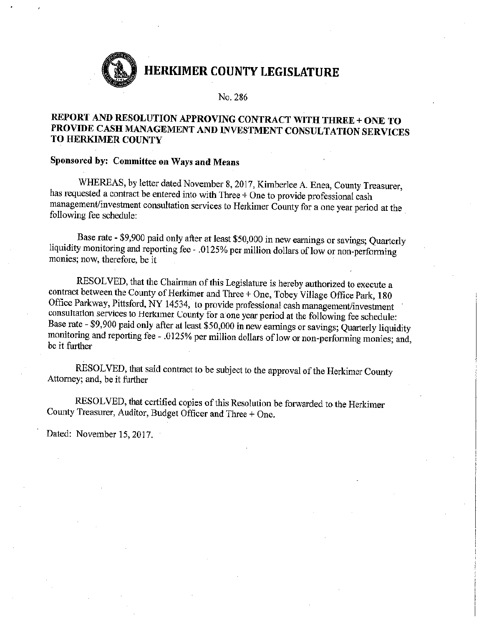No. 286

# REPORT AND RESOLUTION APPROVING CONTRACT WITH THREE + ONE TO PROVIDE CASH MANAGEMENT AND INVESTMENT CONSULTATION SERVICES TO HERKIMER COUNTY

# Sponsored by: Committee on Ways and Means

WHEREAS, by letter dated November 8, 2017, Kimberlee A. Enea, County Treasurer, has requested a contract be entered into with Three + One to provide professional cash management/investment consultation services to Herkimer County for a one year period at the following fee schedule:

Base rate - \$9,900 paid only after at least \$50,000 in new earnings or savings; Quarterly liquidity monitoring and reporting fee - .0125% per million dollars of low or non-performing monies; now, therefore, be it

RESOLVED, that the Chairman of this Legislature is hereby authorized to execute a contract between the County of Herkimer and Three + One, Tobey Village Office Park, 180 Office Parkway, Pittsford, NY 14534, to provide professional cash management/investment consultation services to Herkimer County for a one year period at the following fee schedule: Base rate - \$9,900 paid only after at least \$50,000 in new earnings or savings; Quarterly liquidity monitoring and reporting fee - .0125% per million dollars of low or non-performing monies; and, be it further

RESOLVED, that said contract to be subject to the approval of the Herkimer County Attorney; and, be it further

RESOLVED, that certified copies of this Resolution be forwarded to the Herkimer County Treasurer, Auditor, Budget Officer and Three + One.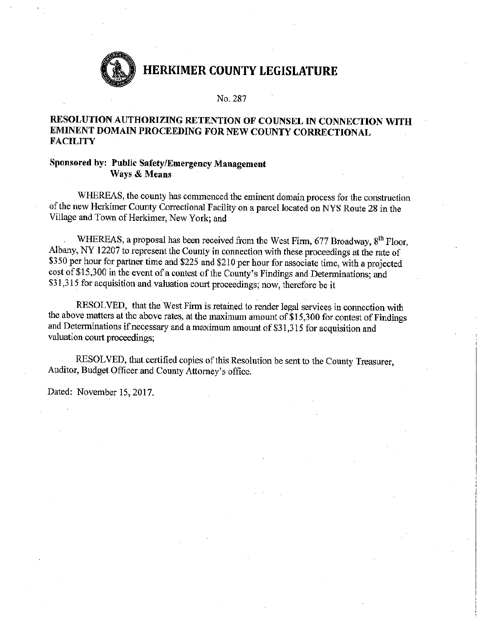

No. 287

### RESOLUTION AUTHORIZING RETENTION OF COUNSEL IN CONNECTION WITH EMINENT DOMAIN PROCEEDING FOR NEW COUNTY CORRECTIONAL **FACILITY**

#### Sponsored by: Public Safety/Emergency Management Ways & Means

WHEREAS, the county has commenced the eminent domain process for the construction of the new Herkimer County Correctional Facility on a parcel located on NYS Route 28 in the Village and Town of Herkimer, New York; and

WHEREAS, a proposal has been received from the West Firm, 677 Broadway, 8<sup>th</sup> Floor. Albany, NY 12207 to represent the County in connection with these proceedings at the rate of \$350 per hour for partner time and \$225 and \$210 per hour for associate time, with a projected cost of \$15,300 in the event of a contest of the County's Findings and Determinations; and \$31,315 for acquisition and valuation court proceedings; now, therefore be it

RESOLVED, that the West Firm is retained to render legal services in connection with the above matters at the above rates, at the maximum amount of \$15,300 for contest of Findings and Determinations if necessary and a maximum amount of \$31,315 for acquisition and valuation court proceedings;

RESOLVED, that certified copies of this Resolution be sent to the County Treasurer, Auditor, Budget Officer and County Attorney's office.